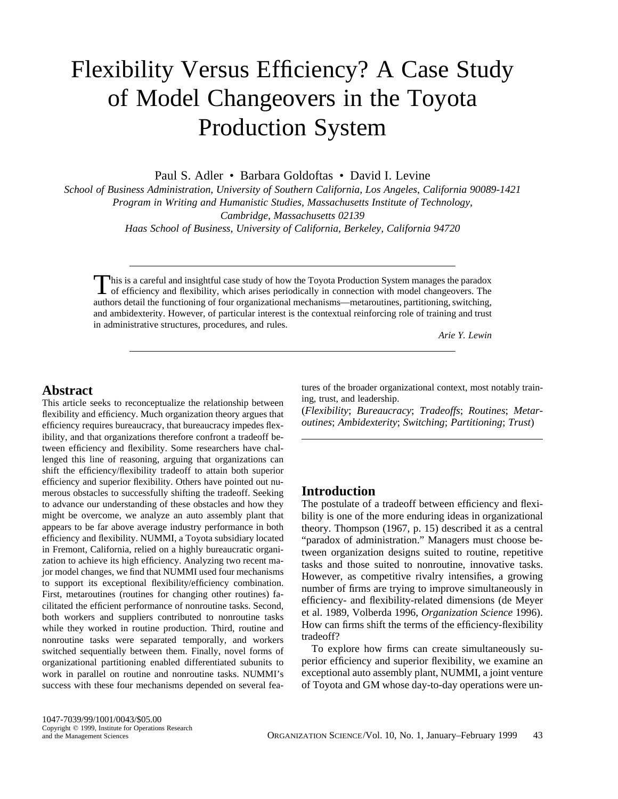# Flexibility Versus Efficiency? A Case Study of Model Changeovers in the Toyota Production System

Paul S. Adler • Barbara Goldoftas • David I. Levine

*School of Business Administration, University of Southern California, Los Angeles, California 90089-1421 Program in Writing and Humanistic Studies, Massachusetts Institute of Technology, Cambridge, Massachusetts 02139*

*Haas School of Business, University of California, Berkeley, California 94720*

This is a careful and insightful case study of how the Toyota Production System manages the paradox of efficiency and flexibility, which arises periodically in connection with model changeovers. The authors detail the functioning of four organizational mechanisms—metaroutines, partitioning, switching, and ambidexterity. However, of particular interest is the contextual reinforcing role of training and trust in administrative structures, procedures, and rules.

*Arie Y. Lewin*

# **Abstract**

This article seeks to reconceptualize the relationship between flexibility and efficiency. Much organization theory argues that efficiency requires bureaucracy, that bureaucracy impedes flexibility, and that organizations therefore confront a tradeoff between efficiency and flexibility. Some researchers have challenged this line of reasoning, arguing that organizations can shift the efficiency/flexibility tradeoff to attain both superior efficiency and superior flexibility. Others have pointed out numerous obstacles to successfully shifting the tradeoff. Seeking to advance our understanding of these obstacles and how they might be overcome, we analyze an auto assembly plant that appears to be far above average industry performance in both efficiency and flexibility. NUMMI, a Toyota subsidiary located in Fremont, California, relied on a highly bureaucratic organization to achieve its high efficiency. Analyzing two recent major model changes, we find that NUMMI used four mechanisms to support its exceptional flexibility/efficiency combination. First, metaroutines (routines for changing other routines) facilitated the efficient performance of nonroutine tasks. Second, both workers and suppliers contributed to nonroutine tasks while they worked in routine production. Third, routine and nonroutine tasks were separated temporally, and workers switched sequentially between them. Finally, novel forms of organizational partitioning enabled differentiated subunits to work in parallel on routine and nonroutine tasks. NUMMI's success with these four mechanisms depended on several features of the broader organizational context, most notably training, trust, and leadership.

(*Flexibility*; *Bureaucracy*; *Tradeoffs*; *Routines*; *Metaroutines*; *Ambidexterity*; *Switching*; *Partitioning*; *Trust*)

# **Introduction**

The postulate of a tradeoff between efficiency and flexibility is one of the more enduring ideas in organizational theory. Thompson (1967, p. 15) described it as a central "paradox of administration." Managers must choose between organization designs suited to routine, repetitive tasks and those suited to nonroutine, innovative tasks. However, as competitive rivalry intensifies, a growing number of firms are trying to improve simultaneously in efficiency- and flexibility-related dimensions (de Meyer et al. 1989, Volberda 1996, *Organization Science* 1996). How can firms shift the terms of the efficiency-flexibility tradeoff?

To explore how firms can create simultaneously superior efficiency and superior flexibility, we examine an exceptional auto assembly plant, NUMMI, a joint venture of Toyota and GM whose day-to-day operations were un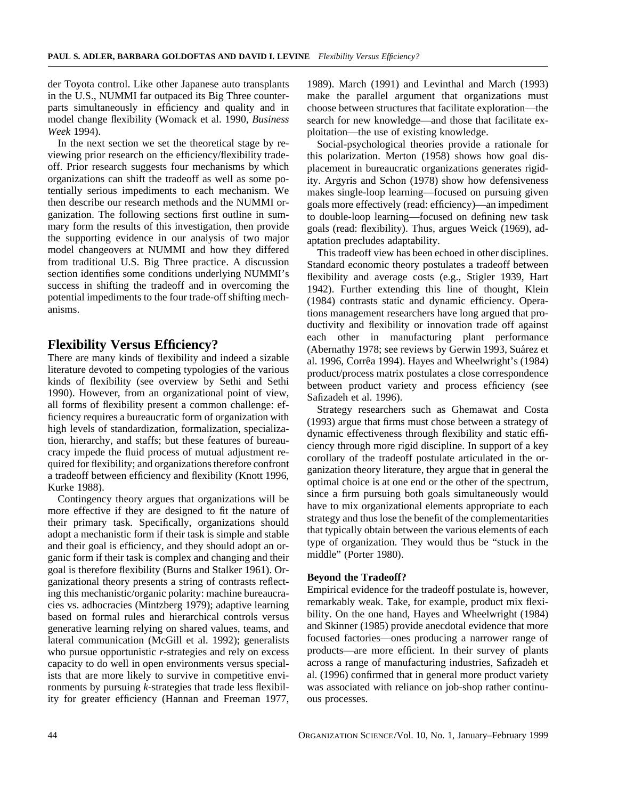der Toyota control. Like other Japanese auto transplants in the U.S., NUMMI far outpaced its Big Three counterparts simultaneously in efficiency and quality and in model change flexibility (Womack et al. 1990, *Business Week* 1994).

In the next section we set the theoretical stage by reviewing prior research on the efficiency/flexibility tradeoff. Prior research suggests four mechanisms by which organizations can shift the tradeoff as well as some potentially serious impediments to each mechanism. We then describe our research methods and the NUMMI organization. The following sections first outline in summary form the results of this investigation, then provide the supporting evidence in our analysis of two major model changeovers at NUMMI and how they differed from traditional U.S. Big Three practice. A discussion section identifies some conditions underlying NUMMI's success in shifting the tradeoff and in overcoming the potential impediments to the four trade-off shifting mechanisms.

# **Flexibility Versus Efficiency?**

There are many kinds of flexibility and indeed a sizable literature devoted to competing typologies of the various kinds of flexibility (see overview by Sethi and Sethi 1990). However, from an organizational point of view, all forms of flexibility present a common challenge: efficiency requires a bureaucratic form of organization with high levels of standardization, formalization, specialization, hierarchy, and staffs; but these features of bureaucracy impede the fluid process of mutual adjustment required for flexibility; and organizations therefore confront a tradeoff between efficiency and flexibility (Knott 1996, Kurke 1988).

Contingency theory argues that organizations will be more effective if they are designed to fit the nature of their primary task. Specifically, organizations should adopt a mechanistic form if their task is simple and stable and their goal is efficiency, and they should adopt an organic form if their task is complex and changing and their goal is therefore flexibility (Burns and Stalker 1961). Organizational theory presents a string of contrasts reflecting this mechanistic/organic polarity: machine bureaucracies vs. adhocracies (Mintzberg 1979); adaptive learning based on formal rules and hierarchical controls versus generative learning relying on shared values, teams, and lateral communication (McGill et al. 1992); generalists who pursue opportunistic *r*-strategies and rely on excess capacity to do well in open environments versus specialists that are more likely to survive in competitive environments by pursuing *k*-strategies that trade less flexibility for greater efficiency (Hannan and Freeman 1977,

1989). March (1991) and Levinthal and March (1993) make the parallel argument that organizations must choose between structures that facilitate exploration—the search for new knowledge—and those that facilitate exploitation—the use of existing knowledge.

Social-psychological theories provide a rationale for this polarization. Merton (1958) shows how goal displacement in bureaucratic organizations generates rigidity. Argyris and Schon (1978) show how defensiveness makes single-loop learning—focused on pursuing given goals more effectively (read: efficiency)—an impediment to double-loop learning—focused on defining new task goals (read: flexibility). Thus, argues Weick (1969), adaptation precludes adaptability.

This tradeoff view has been echoed in other disciplines. Standard economic theory postulates a tradeoff between flexibility and average costs (e.g., Stigler 1939, Hart 1942). Further extending this line of thought, Klein (1984) contrasts static and dynamic efficiency. Operations management researchers have long argued that productivity and flexibility or innovation trade off against each other in manufacturing plant performance (Abernathy 1978; see reviews by Gerwin 1993, Suárez et al. 1996, Correˆa 1994). Hayes and Wheelwright's (1984) product/process matrix postulates a close correspondence between product variety and process efficiency (see Safizadeh et al. 1996).

Strategy researchers such as Ghemawat and Costa (1993) argue that firms must chose between a strategy of dynamic effectiveness through flexibility and static efficiency through more rigid discipline. In support of a key corollary of the tradeoff postulate articulated in the organization theory literature, they argue that in general the optimal choice is at one end or the other of the spectrum, since a firm pursuing both goals simultaneously would have to mix organizational elements appropriate to each strategy and thus lose the benefit of the complementarities that typically obtain between the various elements of each type of organization. They would thus be "stuck in the middle" (Porter 1980).

# **Beyond the Tradeoff?**

Empirical evidence for the tradeoff postulate is, however, remarkably weak. Take, for example, product mix flexibility. On the one hand, Hayes and Wheelwright (1984) and Skinner (1985) provide anecdotal evidence that more focused factories—ones producing a narrower range of products—are more efficient. In their survey of plants across a range of manufacturing industries, Safizadeh et al. (1996) confirmed that in general more product variety was associated with reliance on job-shop rather continuous processes.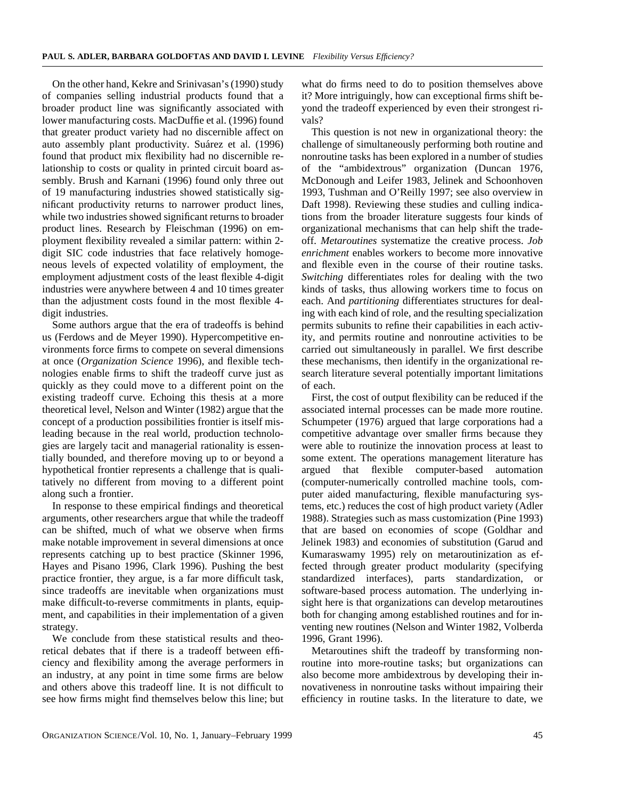On the other hand, Kekre and Srinivasan's (1990) study of companies selling industrial products found that a broader product line was significantly associated with lower manufacturing costs. MacDuffie et al. (1996) found that greater product variety had no discernible affect on auto assembly plant productivity. Suárez et al. (1996) found that product mix flexibility had no discernible relationship to costs or quality in printed circuit board assembly. Brush and Karnani (1996) found only three out of 19 manufacturing industries showed statistically significant productivity returns to narrower product lines, while two industries showed significant returns to broader product lines. Research by Fleischman (1996) on employment flexibility revealed a similar pattern: within 2 digit SIC code industries that face relatively homogeneous levels of expected volatility of employment, the employment adjustment costs of the least flexible 4-digit industries were anywhere between 4 and 10 times greater than the adjustment costs found in the most flexible 4 digit industries.

Some authors argue that the era of tradeoffs is behind us (Ferdows and de Meyer 1990). Hypercompetitive environments force firms to compete on several dimensions at once (*Organization Science* 1996), and flexible technologies enable firms to shift the tradeoff curve just as quickly as they could move to a different point on the existing tradeoff curve. Echoing this thesis at a more theoretical level, Nelson and Winter (1982) argue that the concept of a production possibilities frontier is itself misleading because in the real world, production technologies are largely tacit and managerial rationality is essentially bounded, and therefore moving up to or beyond a hypothetical frontier represents a challenge that is qualitatively no different from moving to a different point along such a frontier.

In response to these empirical findings and theoretical arguments, other researchers argue that while the tradeoff can be shifted, much of what we observe when firms make notable improvement in several dimensions at once represents catching up to best practice (Skinner 1996, Hayes and Pisano 1996, Clark 1996). Pushing the best practice frontier, they argue, is a far more difficult task, since tradeoffs are inevitable when organizations must make difficult-to-reverse commitments in plants, equipment, and capabilities in their implementation of a given strategy.

We conclude from these statistical results and theoretical debates that if there is a tradeoff between efficiency and flexibility among the average performers in an industry, at any point in time some firms are below and others above this tradeoff line. It is not difficult to see how firms might find themselves below this line; but what do firms need to do to position themselves above it? More intriguingly, how can exceptional firms shift beyond the tradeoff experienced by even their strongest rivals?

This question is not new in organizational theory: the challenge of simultaneously performing both routine and nonroutine tasks has been explored in a number of studies of the "ambidextrous" organization (Duncan 1976, McDonough and Leifer 1983, Jelinek and Schoonhoven 1993, Tushman and O'Reilly 1997; see also overview in Daft 1998). Reviewing these studies and culling indications from the broader literature suggests four kinds of organizational mechanisms that can help shift the tradeoff. *Metaroutines* systematize the creative process. *Job enrichment* enables workers to become more innovative and flexible even in the course of their routine tasks. *Switching* differentiates roles for dealing with the two kinds of tasks, thus allowing workers time to focus on each. And *partitioning* differentiates structures for dealing with each kind of role, and the resulting specialization permits subunits to refine their capabilities in each activity, and permits routine and nonroutine activities to be carried out simultaneously in parallel. We first describe these mechanisms, then identify in the organizational research literature several potentially important limitations of each.

First, the cost of output flexibility can be reduced if the associated internal processes can be made more routine. Schumpeter (1976) argued that large corporations had a competitive advantage over smaller firms because they were able to routinize the innovation process at least to some extent. The operations management literature has argued that flexible computer-based automation (computer-numerically controlled machine tools, computer aided manufacturing, flexible manufacturing systems, etc.) reduces the cost of high product variety (Adler 1988). Strategies such as mass customization (Pine 1993) that are based on economies of scope (Goldhar and Jelinek 1983) and economies of substitution (Garud and Kumaraswamy 1995) rely on metaroutinization as effected through greater product modularity (specifying standardized interfaces), parts standardization, or software-based process automation. The underlying insight here is that organizations can develop metaroutines both for changing among established routines and for inventing new routines (Nelson and Winter 1982, Volberda 1996, Grant 1996).

Metaroutines shift the tradeoff by transforming nonroutine into more-routine tasks; but organizations can also become more ambidextrous by developing their innovativeness in nonroutine tasks without impairing their efficiency in routine tasks. In the literature to date, we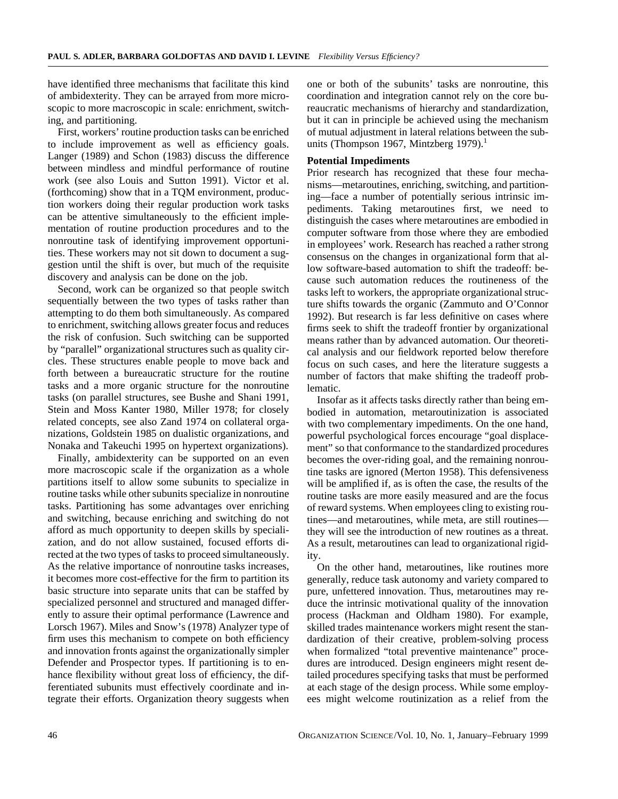have identified three mechanisms that facilitate this kind of ambidexterity. They can be arrayed from more microscopic to more macroscopic in scale: enrichment, switching, and partitioning.

First, workers' routine production tasks can be enriched to include improvement as well as efficiency goals. Langer (1989) and Schon (1983) discuss the difference between mindless and mindful performance of routine work (see also Louis and Sutton 1991). Victor et al. (forthcoming) show that in a TQM environment, production workers doing their regular production work tasks can be attentive simultaneously to the efficient implementation of routine production procedures and to the nonroutine task of identifying improvement opportunities. These workers may not sit down to document a suggestion until the shift is over, but much of the requisite discovery and analysis can be done on the job.

Second, work can be organized so that people switch sequentially between the two types of tasks rather than attempting to do them both simultaneously. As compared to enrichment, switching allows greater focus and reduces the risk of confusion. Such switching can be supported by "parallel" organizational structures such as quality circles. These structures enable people to move back and forth between a bureaucratic structure for the routine tasks and a more organic structure for the nonroutine tasks (on parallel structures, see Bushe and Shani 1991, Stein and Moss Kanter 1980, Miller 1978; for closely related concepts, see also Zand 1974 on collateral organizations, Goldstein 1985 on dualistic organizations, and Nonaka and Takeuchi 1995 on hypertext organizations).

Finally, ambidexterity can be supported on an even more macroscopic scale if the organization as a whole partitions itself to allow some subunits to specialize in routine tasks while other subunits specialize in nonroutine tasks. Partitioning has some advantages over enriching and switching, because enriching and switching do not afford as much opportunity to deepen skills by specialization, and do not allow sustained, focused efforts directed at the two types of tasks to proceed simultaneously. As the relative importance of nonroutine tasks increases, it becomes more cost-effective for the firm to partition its basic structure into separate units that can be staffed by specialized personnel and structured and managed differently to assure their optimal performance (Lawrence and Lorsch 1967). Miles and Snow's (1978) Analyzer type of firm uses this mechanism to compete on both efficiency and innovation fronts against the organizationally simpler Defender and Prospector types. If partitioning is to enhance flexibility without great loss of efficiency, the differentiated subunits must effectively coordinate and integrate their efforts. Organization theory suggests when

one or both of the subunits' tasks are nonroutine, this coordination and integration cannot rely on the core bureaucratic mechanisms of hierarchy and standardization, but it can in principle be achieved using the mechanism of mutual adjustment in lateral relations between the subunits (Thompson 1967, Mintzberg 1979).<sup>1</sup>

#### **Potential Impediments**

Prior research has recognized that these four mechanisms—metaroutines, enriching, switching, and partitioning—face a number of potentially serious intrinsic impediments. Taking metaroutines first, we need to distinguish the cases where metaroutines are embodied in computer software from those where they are embodied in employees' work. Research has reached a rather strong consensus on the changes in organizational form that allow software-based automation to shift the tradeoff: because such automation reduces the routineness of the tasks left to workers, the appropriate organizational structure shifts towards the organic (Zammuto and O'Connor 1992). But research is far less definitive on cases where firms seek to shift the tradeoff frontier by organizational means rather than by advanced automation. Our theoretical analysis and our fieldwork reported below therefore focus on such cases, and here the literature suggests a number of factors that make shifting the tradeoff problematic.

Insofar as it affects tasks directly rather than being embodied in automation, metaroutinization is associated with two complementary impediments. On the one hand, powerful psychological forces encourage "goal displacement" so that conformance to the standardized procedures becomes the over-riding goal, and the remaining nonroutine tasks are ignored (Merton 1958). This defensiveness will be amplified if, as is often the case, the results of the routine tasks are more easily measured and are the focus of reward systems. When employees cling to existing routines—and metaroutines, while meta, are still routines they will see the introduction of new routines as a threat. As a result, metaroutines can lead to organizational rigidity.

On the other hand, metaroutines, like routines more generally, reduce task autonomy and variety compared to pure, unfettered innovation. Thus, metaroutines may reduce the intrinsic motivational quality of the innovation process (Hackman and Oldham 1980). For example, skilled trades maintenance workers might resent the standardization of their creative, problem-solving process when formalized "total preventive maintenance" procedures are introduced. Design engineers might resent detailed procedures specifying tasks that must be performed at each stage of the design process. While some employees might welcome routinization as a relief from the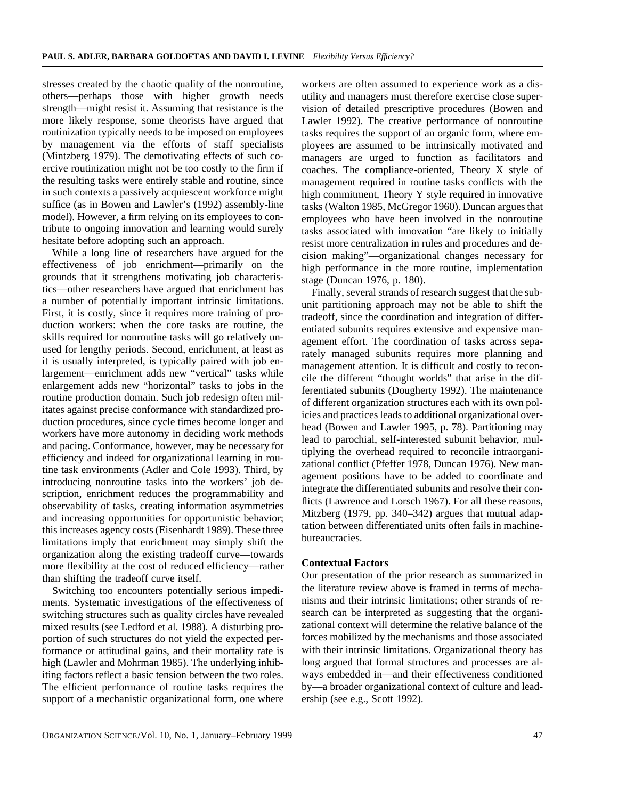stresses created by the chaotic quality of the nonroutine, others—perhaps those with higher growth needs strength—might resist it. Assuming that resistance is the more likely response, some theorists have argued that routinization typically needs to be imposed on employees by management via the efforts of staff specialists (Mintzberg 1979). The demotivating effects of such coercive routinization might not be too costly to the firm if the resulting tasks were entirely stable and routine, since in such contexts a passively acquiescent workforce might suffice (as in Bowen and Lawler's (1992) assembly-line model). However, a firm relying on its employees to contribute to ongoing innovation and learning would surely hesitate before adopting such an approach.

While a long line of researchers have argued for the effectiveness of job enrichment—primarily on the grounds that it strengthens motivating job characteristics—other researchers have argued that enrichment has a number of potentially important intrinsic limitations. First, it is costly, since it requires more training of production workers: when the core tasks are routine, the skills required for nonroutine tasks will go relatively unused for lengthy periods. Second, enrichment, at least as it is usually interpreted, is typically paired with job enlargement—enrichment adds new "vertical" tasks while enlargement adds new "horizontal" tasks to jobs in the routine production domain. Such job redesign often militates against precise conformance with standardized production procedures, since cycle times become longer and workers have more autonomy in deciding work methods and pacing. Conformance, however, may be necessary for efficiency and indeed for organizational learning in routine task environments (Adler and Cole 1993). Third, by introducing nonroutine tasks into the workers' job description, enrichment reduces the programmability and observability of tasks, creating information asymmetries and increasing opportunities for opportunistic behavior; this increases agency costs (Eisenhardt 1989). These three limitations imply that enrichment may simply shift the organization along the existing tradeoff curve—towards more flexibility at the cost of reduced efficiency—rather than shifting the tradeoff curve itself.

Switching too encounters potentially serious impediments. Systematic investigations of the effectiveness of switching structures such as quality circles have revealed mixed results (see Ledford et al. 1988). A disturbing proportion of such structures do not yield the expected performance or attitudinal gains, and their mortality rate is high (Lawler and Mohrman 1985). The underlying inhibiting factors reflect a basic tension between the two roles. The efficient performance of routine tasks requires the support of a mechanistic organizational form, one where

workers are often assumed to experience work as a disutility and managers must therefore exercise close supervision of detailed prescriptive procedures (Bowen and Lawler 1992). The creative performance of nonroutine tasks requires the support of an organic form, where employees are assumed to be intrinsically motivated and managers are urged to function as facilitators and coaches. The compliance-oriented, Theory X style of management required in routine tasks conflicts with the high commitment, Theory Y style required in innovative tasks (Walton 1985, McGregor 1960). Duncan argues that employees who have been involved in the nonroutine tasks associated with innovation "are likely to initially resist more centralization in rules and procedures and decision making"—organizational changes necessary for high performance in the more routine, implementation stage (Duncan 1976, p. 180).

Finally, several strands of research suggest that the subunit partitioning approach may not be able to shift the tradeoff, since the coordination and integration of differentiated subunits requires extensive and expensive management effort. The coordination of tasks across separately managed subunits requires more planning and management attention. It is difficult and costly to reconcile the different "thought worlds" that arise in the differentiated subunits (Dougherty 1992). The maintenance of different organization structures each with its own policies and practices leads to additional organizational overhead (Bowen and Lawler 1995, p. 78). Partitioning may lead to parochial, self-interested subunit behavior, multiplying the overhead required to reconcile intraorganizational conflict (Pfeffer 1978, Duncan 1976). New management positions have to be added to coordinate and integrate the differentiated subunits and resolve their conflicts (Lawrence and Lorsch 1967). For all these reasons, Mitzberg (1979, pp. 340–342) argues that mutual adaptation between differentiated units often fails in machinebureaucracies.

#### **Contextual Factors**

Our presentation of the prior research as summarized in the literature review above is framed in terms of mechanisms and their intrinsic limitations; other strands of research can be interpreted as suggesting that the organizational context will determine the relative balance of the forces mobilized by the mechanisms and those associated with their intrinsic limitations. Organizational theory has long argued that formal structures and processes are always embedded in—and their effectiveness conditioned by—a broader organizational context of culture and leadership (see e.g., Scott 1992).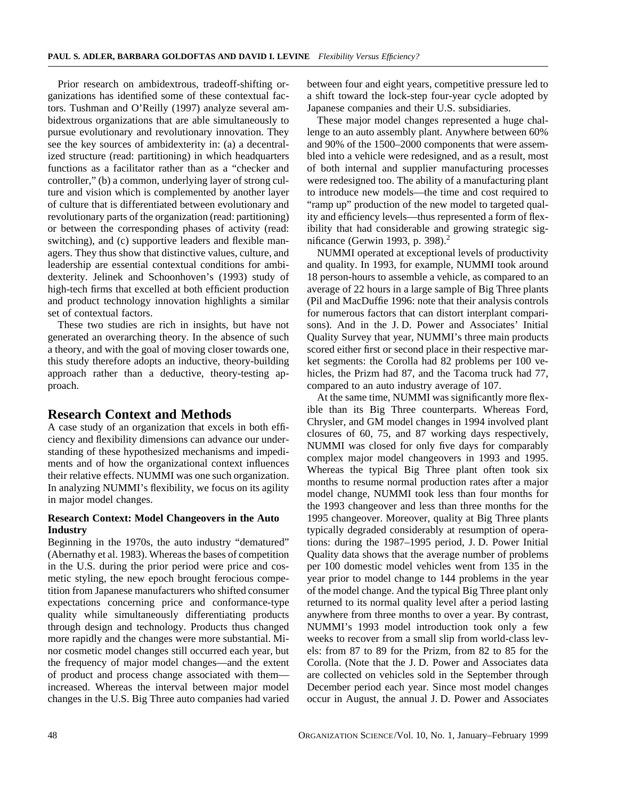Prior research on ambidextrous, tradeoff-shifting organizations has identified some of these contextual factors. Tushman and O'Reilly (1997) analyze several ambidextrous organizations that are able simultaneously to pursue evolutionary and revolutionary innovation. They see the key sources of ambidexterity in: (a) a decentralized structure (read: partitioning) in which headquarters functions as a facilitator rather than as a "checker and controller," (b) a common, underlying layer of strong culture and vision which is complemented by another layer of culture that is differentiated between evolutionary and revolutionary parts of the organization (read: partitioning) or between the corresponding phases of activity (read: switching), and (c) supportive leaders and flexible managers. They thus show that distinctive values, culture, and leadership are essential contextual conditions for ambidexterity. Jelinek and Schoonhoven's (1993) study of high-tech firms that excelled at both efficient production and product technology innovation highlights a similar set of contextual factors.

These two studies are rich in insights, but have not generated an overarching theory. In the absence of such a theory, and with the goal of moving closer towards one, this study therefore adopts an inductive, theory-building approach rather than a deductive, theory-testing approach.

# **Research Context and Methods**

A case study of an organization that excels in both efficiency and flexibility dimensions can advance our understanding of these hypothesized mechanisms and impediments and of how the organizational context influences their relative effects. NUMMI was one such organization. In analyzing NUMMI's flexibility, we focus on its agility in major model changes.

# **Research Context: Model Changeovers in the Auto Industry**

Beginning in the 1970s, the auto industry "dematured" (Abernathy et al. 1983). Whereas the bases of competition in the U.S. during the prior period were price and cosmetic styling, the new epoch brought ferocious competition from Japanese manufacturers who shifted consumer expectations concerning price and conformance-type quality while simultaneously differentiating products through design and technology. Products thus changed more rapidly and the changes were more substantial. Minor cosmetic model changes still occurred each year, but the frequency of major model changes—and the extent of product and process change associated with them increased. Whereas the interval between major model changes in the U.S. Big Three auto companies had varied between four and eight years, competitive pressure led to a shift toward the lock-step four-year cycle adopted by Japanese companies and their U.S. subsidiaries.

These major model changes represented a huge challenge to an auto assembly plant. Anywhere between 60% and 90% of the 1500–2000 components that were assembled into a vehicle were redesigned, and as a result, most of both internal and supplier manufacturing processes were redesigned too. The ability of a manufacturing plant to introduce new models—the time and cost required to "ramp up" production of the new model to targeted quality and efficiency levels—thus represented a form of flexibility that had considerable and growing strategic significance (Gerwin 1993, p. 398). $<sup>2</sup>$ </sup>

NUMMI operated at exceptional levels of productivity and quality. In 1993, for example, NUMMI took around 18 person-hours to assemble a vehicle, as compared to an average of 22 hours in a large sample of Big Three plants (Pil and MacDuffie 1996: note that their analysis controls for numerous factors that can distort interplant comparisons). And in the J. D. Power and Associates' Initial Quality Survey that year, NUMMI's three main products scored either first or second place in their respective market segments: the Corolla had 82 problems per 100 vehicles, the Prizm had 87, and the Tacoma truck had 77, compared to an auto industry average of 107.

At the same time, NUMMI was significantly more flexible than its Big Three counterparts. Whereas Ford, Chrysler, and GM model changes in 1994 involved plant closures of 60, 75, and 87 working days respectively, NUMMI was closed for only five days for comparably complex major model changeovers in 1993 and 1995. Whereas the typical Big Three plant often took six months to resume normal production rates after a major model change, NUMMI took less than four months for the 1993 changeover and less than three months for the 1995 changeover. Moreover, quality at Big Three plants typically degraded considerably at resumption of operations: during the 1987–1995 period, J. D. Power Initial Quality data shows that the average number of problems per 100 domestic model vehicles went from 135 in the year prior to model change to 144 problems in the year of the model change. And the typical Big Three plant only returned to its normal quality level after a period lasting anywhere from three months to over a year. By contrast, NUMMI's 1993 model introduction took only a few weeks to recover from a small slip from world-class levels: from 87 to 89 for the Prizm, from 82 to 85 for the Corolla. (Note that the J. D. Power and Associates data are collected on vehicles sold in the September through December period each year. Since most model changes occur in August, the annual J. D. Power and Associates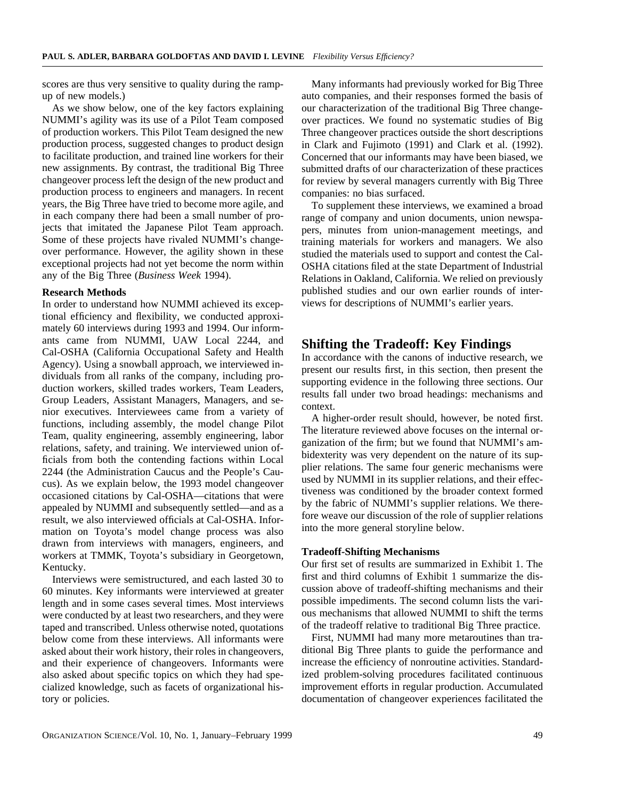scores are thus very sensitive to quality during the rampup of new models.)

As we show below, one of the key factors explaining NUMMI's agility was its use of a Pilot Team composed of production workers. This Pilot Team designed the new production process, suggested changes to product design to facilitate production, and trained line workers for their new assignments. By contrast, the traditional Big Three changeover process left the design of the new product and production process to engineers and managers. In recent years, the Big Three have tried to become more agile, and in each company there had been a small number of projects that imitated the Japanese Pilot Team approach. Some of these projects have rivaled NUMMI's changeover performance. However, the agility shown in these exceptional projects had not yet become the norm within any of the Big Three (*Business Week* 1994).

#### **Research Methods**

In order to understand how NUMMI achieved its exceptional efficiency and flexibility, we conducted approximately 60 interviews during 1993 and 1994. Our informants came from NUMMI, UAW Local 2244, and Cal-OSHA (California Occupational Safety and Health Agency). Using a snowball approach, we interviewed individuals from all ranks of the company, including production workers, skilled trades workers, Team Leaders, Group Leaders, Assistant Managers, Managers, and senior executives. Interviewees came from a variety of functions, including assembly, the model change Pilot Team, quality engineering, assembly engineering, labor relations, safety, and training. We interviewed union officials from both the contending factions within Local 2244 (the Administration Caucus and the People's Caucus). As we explain below, the 1993 model changeover occasioned citations by Cal-OSHA—citations that were appealed by NUMMI and subsequently settled—and as a result, we also interviewed officials at Cal-OSHA. Information on Toyota's model change process was also drawn from interviews with managers, engineers, and workers at TMMK, Toyota's subsidiary in Georgetown, Kentucky.

Interviews were semistructured, and each lasted 30 to 60 minutes. Key informants were interviewed at greater length and in some cases several times. Most interviews were conducted by at least two researchers, and they were taped and transcribed. Unless otherwise noted, quotations below come from these interviews. All informants were asked about their work history, their roles in changeovers, and their experience of changeovers. Informants were also asked about specific topics on which they had specialized knowledge, such as facets of organizational history or policies.

Many informants had previously worked for Big Three auto companies, and their responses formed the basis of our characterization of the traditional Big Three changeover practices. We found no systematic studies of Big Three changeover practices outside the short descriptions in Clark and Fujimoto (1991) and Clark et al. (1992). Concerned that our informants may have been biased, we submitted drafts of our characterization of these practices for review by several managers currently with Big Three companies: no bias surfaced.

To supplement these interviews, we examined a broad range of company and union documents, union newspapers, minutes from union-management meetings, and training materials for workers and managers. We also studied the materials used to support and contest the Cal-OSHA citations filed at the state Department of Industrial Relations in Oakland, California. We relied on previously published studies and our own earlier rounds of interviews for descriptions of NUMMI's earlier years.

# **Shifting the Tradeoff: Key Findings**

In accordance with the canons of inductive research, we present our results first, in this section, then present the supporting evidence in the following three sections. Our results fall under two broad headings: mechanisms and context.

A higher-order result should, however, be noted first. The literature reviewed above focuses on the internal organization of the firm; but we found that NUMMI's ambidexterity was very dependent on the nature of its supplier relations. The same four generic mechanisms were used by NUMMI in its supplier relations, and their effectiveness was conditioned by the broader context formed by the fabric of NUMMI's supplier relations. We therefore weave our discussion of the role of supplier relations into the more general storyline below.

#### **Tradeoff-Shifting Mechanisms**

Our first set of results are summarized in Exhibit 1. The first and third columns of Exhibit 1 summarize the discussion above of tradeoff-shifting mechanisms and their possible impediments. The second column lists the various mechanisms that allowed NUMMI to shift the terms of the tradeoff relative to traditional Big Three practice.

First, NUMMI had many more metaroutines than traditional Big Three plants to guide the performance and increase the efficiency of nonroutine activities. Standardized problem-solving procedures facilitated continuous improvement efforts in regular production. Accumulated documentation of changeover experiences facilitated the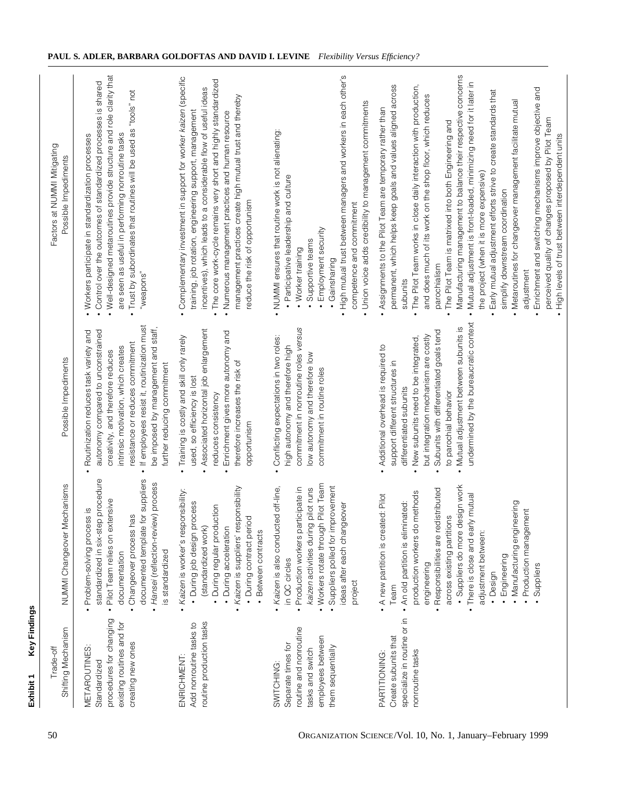| Factors at NUMMI Mitigating<br>Possible Impediments | Well-designed metaroutines provide structure and role clarity that<br>Control over the outcomes of standardized processes is shared<br>Trust by subordinates that routines will be used as "tools" not<br>are seen as useful in performing nonroutine tasks<br>Workers participate in standardization processes<br>"weapons" | Complementary investment in support for worker kaizen (specific<br>The core work-cycle remains very short and highly standardized<br>incentives), which leads to a considerable flow of useful ideas<br>management practices create high mutual trust and thereby<br>training, job rotation, engineering support, management<br>Numerous management practices and human resource<br>reduce the risk of opportunism | High mutual trust between managers and workers in each other's<br>Union voice adds credibility to management commitments<br>NUMMI ensures that routine work is not alienating:<br>· Participative leadership and culture<br>competence and commitment<br>Employment security<br>Supportive teams<br>• Worker training<br>· Gainsharing | Manufacturing management to balance their respective concerns<br>Mutual adjustment is front-loaded, minimizing need for it later in<br>permanent, which helps keep goals and values aligned across<br>The Pilot Team works in close daily interaction with production,<br>Enrichment and switching mechanisms improve objective and<br>Early mutual adjustment efforts strive to create standards that<br>and does much of its work on the shop floor, which reduces<br>Metaroutines for changeover management facilitate mutual<br>Assignments to the Pilot Team are temporary rather than<br>perceived quality of changes proposed by Pilot Team<br>The Pilot Team is matrixed into both Engineering and<br>the project (when it is more expensive)<br>simplify downstream coordination<br>parochialism<br>adjustment<br>subunits |
|-----------------------------------------------------|------------------------------------------------------------------------------------------------------------------------------------------------------------------------------------------------------------------------------------------------------------------------------------------------------------------------------|--------------------------------------------------------------------------------------------------------------------------------------------------------------------------------------------------------------------------------------------------------------------------------------------------------------------------------------------------------------------------------------------------------------------|----------------------------------------------------------------------------------------------------------------------------------------------------------------------------------------------------------------------------------------------------------------------------------------------------------------------------------------|-------------------------------------------------------------------------------------------------------------------------------------------------------------------------------------------------------------------------------------------------------------------------------------------------------------------------------------------------------------------------------------------------------------------------------------------------------------------------------------------------------------------------------------------------------------------------------------------------------------------------------------------------------------------------------------------------------------------------------------------------------------------------------------------------------------------------------------|
| Possible Impediments                                | If employees resist it, routinization must<br>be imposed by management and staff,<br>autonomy compared to unconstrained<br>Routinization reduces task variety and<br>resistance or reduces commitment<br>intrinsic motivation, which creates<br>creativity, and therefore reduces<br>further reducing commitment             | Associated horizontal job enlargement<br>Enrichment gives more autonomy and<br>Training is costly and skill only rarely<br>therefore increases the risk of<br>used, so efficiency is lost<br>reduces consistency<br>opportunism                                                                                                                                                                                    | commitment in nonroutine roles versus<br>Conflicting expectations in two roles:<br>high autonomy and therefore high<br>low autonomy and therefore low<br>commitment in routine roles                                                                                                                                                   | undermined by the bureaucratic context<br>Mutual adjustment between subunits is<br>Subunits with differentiated goals tend<br>but integration mechanism are costly<br>New subunits need to be integrated,<br>Additional overhead is required to<br>support different structures in<br>differentiated subunits<br>to parochial behavior                                                                                                                                                                                                                                                                                                                                                                                                                                                                                              |
| lechanisms<br>NUMMI Changeover M                    | p procedure<br>documented template for suppliers<br>Hansei (reflection-review) process<br>Pilot Team relies on extensive<br>Problem-solving process is<br>Changeover process has<br>standardized in six-ste<br>s standardized<br>documentation                                                                               | • Kaizen is suppliers' responsibility<br>Kaizen is worker's responsibility:<br>· During job design process<br>· During regular production<br>· During contract period<br>(standardized work)<br>· During acceleration<br>Between contracts                                                                                                                                                                         | Workers rotate through Pilot Team<br>Suppliers polled for improvement<br>ed off-line,<br>Production workers participate in<br>kaizen activities during pilot runs<br>ideas after each changeover<br>Kaizen is also conduct<br>in QC circles<br>project<br>$\bullet$<br>$\bullet$                                                       | · Suppliers do more design work<br>Responsibilities are redistributed<br>methods<br>A new partition is created: Pilot<br>There is close and early mutual<br>Manufacturing engineering<br>. An old partition is eliminated:<br>Production management<br>across existing partitions<br>production workers do<br>adjustment between:<br>Engineering<br>engineering<br>Suppliers<br>· Design<br>Team<br>$\bullet$<br>$\bullet$                                                                                                                                                                                                                                                                                                                                                                                                          |
| Shifting Mechanism<br>Trade-off                     | procedures for changing<br>existing routines and for<br>creating new ones<br><b>METAROUTINES:</b><br>Standardized                                                                                                                                                                                                            | routine production tasks<br>Add nonroutine tasks to<br>ENRICHMENT:                                                                                                                                                                                                                                                                                                                                                 | routine and nonroutine<br>employees between<br>Separate times for<br>them sequentially<br>tasks and switch<br>SWITCHING:                                                                                                                                                                                                               | specialize in routine or in<br>Create subunits that<br>nonroutine tasks<br>PARTITIONING:                                                                                                                                                                                                                                                                                                                                                                                                                                                                                                                                                                                                                                                                                                                                            |

# **PAUL S. ADLER, BARBARA GOLDOFTAS AND DAVID I. LEVINE** *Flexibility Versus Efficiency?*

**Exhibit 1 Key Findings**

Exhibit 1

Key Findings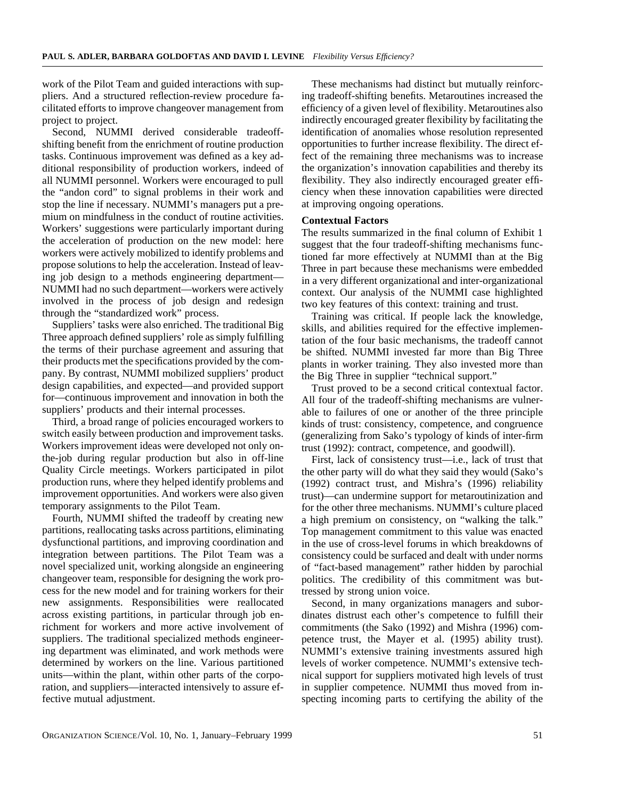work of the Pilot Team and guided interactions with suppliers. And a structured reflection-review procedure facilitated efforts to improve changeover management from project to project.

Second, NUMMI derived considerable tradeoffshifting benefit from the enrichment of routine production tasks. Continuous improvement was defined as a key additional responsibility of production workers, indeed of all NUMMI personnel. Workers were encouraged to pull the "andon cord" to signal problems in their work and stop the line if necessary. NUMMI's managers put a premium on mindfulness in the conduct of routine activities. Workers' suggestions were particularly important during the acceleration of production on the new model: here workers were actively mobilized to identify problems and propose solutions to help the acceleration. Instead of leaving job design to a methods engineering department— NUMMI had no such department—workers were actively involved in the process of job design and redesign through the "standardized work" process.

Suppliers' tasks were also enriched. The traditional Big Three approach defined suppliers' role as simply fulfilling the terms of their purchase agreement and assuring that their products met the specifications provided by the company. By contrast, NUMMI mobilized suppliers' product design capabilities, and expected—and provided support for—continuous improvement and innovation in both the suppliers' products and their internal processes.

Third, a broad range of policies encouraged workers to switch easily between production and improvement tasks. Workers improvement ideas were developed not only onthe-job during regular production but also in off-line Quality Circle meetings. Workers participated in pilot production runs, where they helped identify problems and improvement opportunities. And workers were also given temporary assignments to the Pilot Team.

Fourth, NUMMI shifted the tradeoff by creating new partitions, reallocating tasks across partitions, eliminating dysfunctional partitions, and improving coordination and integration between partitions. The Pilot Team was a novel specialized unit, working alongside an engineering changeover team, responsible for designing the work process for the new model and for training workers for their new assignments. Responsibilities were reallocated across existing partitions, in particular through job enrichment for workers and more active involvement of suppliers. The traditional specialized methods engineering department was eliminated, and work methods were determined by workers on the line. Various partitioned units—within the plant, within other parts of the corporation, and suppliers—interacted intensively to assure effective mutual adjustment.

These mechanisms had distinct but mutually reinforcing tradeoff-shifting benefits. Metaroutines increased the efficiency of a given level of flexibility. Metaroutines also indirectly encouraged greater flexibility by facilitating the identification of anomalies whose resolution represented opportunities to further increase flexibility. The direct effect of the remaining three mechanisms was to increase the organization's innovation capabilities and thereby its flexibility. They also indirectly encouraged greater efficiency when these innovation capabilities were directed at improving ongoing operations.

#### **Contextual Factors**

The results summarized in the final column of Exhibit 1 suggest that the four tradeoff-shifting mechanisms functioned far more effectively at NUMMI than at the Big Three in part because these mechanisms were embedded in a very different organizational and inter-organizational context. Our analysis of the NUMMI case highlighted two key features of this context: training and trust.

Training was critical. If people lack the knowledge, skills, and abilities required for the effective implementation of the four basic mechanisms, the tradeoff cannot be shifted. NUMMI invested far more than Big Three plants in worker training. They also invested more than the Big Three in supplier "technical support."

Trust proved to be a second critical contextual factor. All four of the tradeoff-shifting mechanisms are vulnerable to failures of one or another of the three principle kinds of trust: consistency, competence, and congruence (generalizing from Sako's typology of kinds of inter-firm trust (1992): contract, competence, and goodwill).

First, lack of consistency trust—i.e., lack of trust that the other party will do what they said they would (Sako's (1992) contract trust, and Mishra's (1996) reliability trust)—can undermine support for metaroutinization and for the other three mechanisms. NUMMI's culture placed a high premium on consistency, on "walking the talk." Top management commitment to this value was enacted in the use of cross-level forums in which breakdowns of consistency could be surfaced and dealt with under norms of "fact-based management" rather hidden by parochial politics. The credibility of this commitment was buttressed by strong union voice.

Second, in many organizations managers and subordinates distrust each other's competence to fulfill their commitments (the Sako (1992) and Mishra (1996) competence trust, the Mayer et al. (1995) ability trust). NUMMI's extensive training investments assured high levels of worker competence. NUMMI's extensive technical support for suppliers motivated high levels of trust in supplier competence. NUMMI thus moved from inspecting incoming parts to certifying the ability of the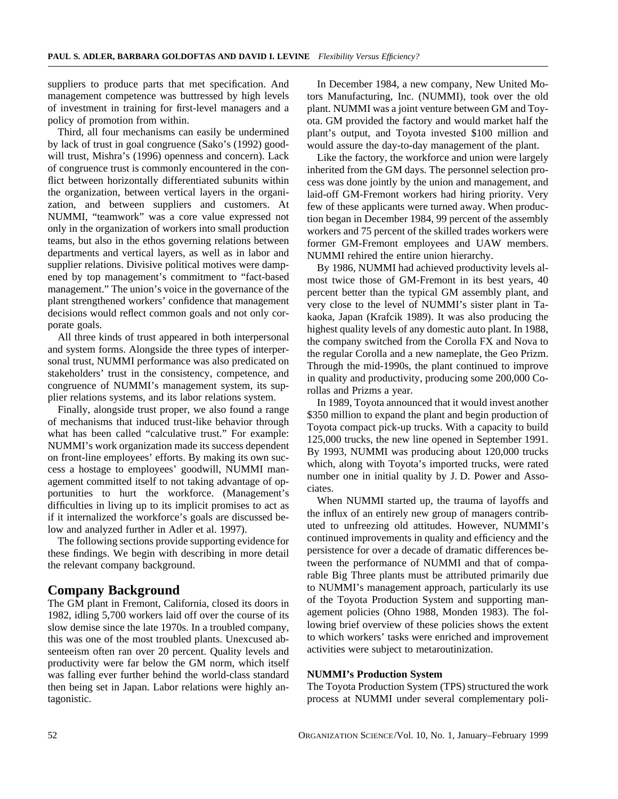suppliers to produce parts that met specification. And management competence was buttressed by high levels of investment in training for first-level managers and a policy of promotion from within.

Third, all four mechanisms can easily be undermined by lack of trust in goal congruence (Sako's (1992) goodwill trust, Mishra's (1996) openness and concern). Lack of congruence trust is commonly encountered in the conflict between horizontally differentiated subunits within the organization, between vertical layers in the organization, and between suppliers and customers. At NUMMI, "teamwork" was a core value expressed not only in the organization of workers into small production teams, but also in the ethos governing relations between departments and vertical layers, as well as in labor and supplier relations. Divisive political motives were dampened by top management's commitment to "fact-based management." The union's voice in the governance of the plant strengthened workers' confidence that management decisions would reflect common goals and not only corporate goals.

All three kinds of trust appeared in both interpersonal and system forms. Alongside the three types of interpersonal trust, NUMMI performance was also predicated on stakeholders' trust in the consistency, competence, and congruence of NUMMI's management system, its supplier relations systems, and its labor relations system.

Finally, alongside trust proper, we also found a range of mechanisms that induced trust-like behavior through what has been called "calculative trust." For example: NUMMI's work organization made its success dependent on front-line employees' efforts. By making its own success a hostage to employees' goodwill, NUMMI management committed itself to not taking advantage of opportunities to hurt the workforce. (Management's difficulties in living up to its implicit promises to act as if it internalized the workforce's goals are discussed below and analyzed further in Adler et al. 1997).

The following sections provide supporting evidence for these findings. We begin with describing in more detail the relevant company background.

# **Company Background**

The GM plant in Fremont, California, closed its doors in 1982, idling 5,700 workers laid off over the course of its slow demise since the late 1970s. In a troubled company, this was one of the most troubled plants. Unexcused absenteeism often ran over 20 percent. Quality levels and productivity were far below the GM norm, which itself was falling ever further behind the world-class standard then being set in Japan. Labor relations were highly antagonistic.

In December 1984, a new company, New United Motors Manufacturing, Inc. (NUMMI), took over the old plant. NUMMI was a joint venture between GM and Toyota. GM provided the factory and would market half the plant's output, and Toyota invested \$100 million and would assure the day-to-day management of the plant.

Like the factory, the workforce and union were largely inherited from the GM days. The personnel selection process was done jointly by the union and management, and laid-off GM-Fremont workers had hiring priority. Very few of these applicants were turned away. When production began in December 1984, 99 percent of the assembly workers and 75 percent of the skilled trades workers were former GM-Fremont employees and UAW members. NUMMI rehired the entire union hierarchy.

By 1986, NUMMI had achieved productivity levels almost twice those of GM-Fremont in its best years, 40 percent better than the typical GM assembly plant, and very close to the level of NUMMI's sister plant in Takaoka, Japan (Krafcik 1989). It was also producing the highest quality levels of any domestic auto plant. In 1988, the company switched from the Corolla FX and Nova to the regular Corolla and a new nameplate, the Geo Prizm. Through the mid-1990s, the plant continued to improve in quality and productivity, producing some 200,000 Corollas and Prizms a year.

In 1989, Toyota announced that it would invest another \$350 million to expand the plant and begin production of Toyota compact pick-up trucks. With a capacity to build 125,000 trucks, the new line opened in September 1991. By 1993, NUMMI was producing about 120,000 trucks which, along with Toyota's imported trucks, were rated number one in initial quality by J. D. Power and Associates.

When NUMMI started up, the trauma of layoffs and the influx of an entirely new group of managers contributed to unfreezing old attitudes. However, NUMMI's continued improvements in quality and efficiency and the persistence for over a decade of dramatic differences between the performance of NUMMI and that of comparable Big Three plants must be attributed primarily due to NUMMI's management approach, particularly its use of the Toyota Production System and supporting management policies (Ohno 1988, Monden 1983). The following brief overview of these policies shows the extent to which workers' tasks were enriched and improvement activities were subject to metaroutinization.

#### **NUMMI's Production System**

The Toyota Production System (TPS) structured the work process at NUMMI under several complementary poli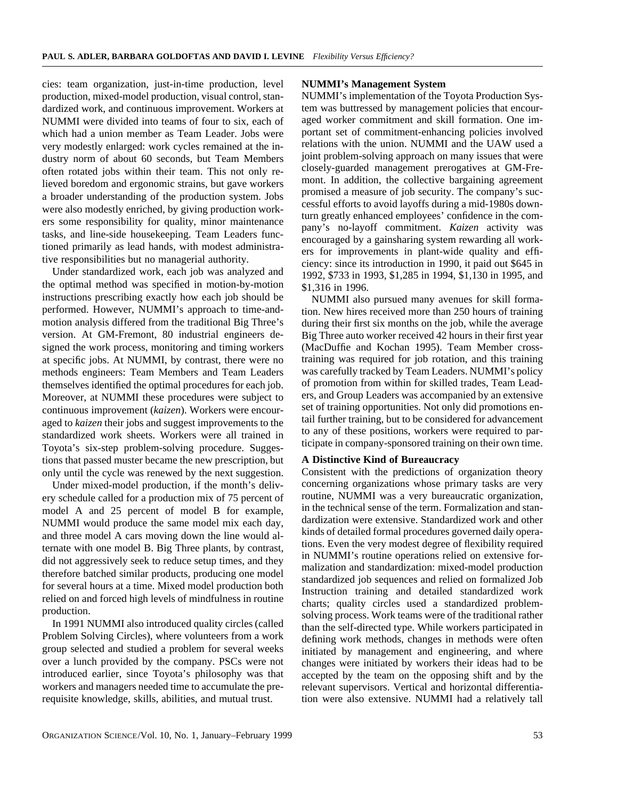cies: team organization, just-in-time production, level production, mixed-model production, visual control, standardized work, and continuous improvement. Workers at NUMMI were divided into teams of four to six, each of which had a union member as Team Leader. Jobs were very modestly enlarged: work cycles remained at the industry norm of about 60 seconds, but Team Members often rotated jobs within their team. This not only relieved boredom and ergonomic strains, but gave workers a broader understanding of the production system. Jobs were also modestly enriched, by giving production workers some responsibility for quality, minor maintenance tasks, and line-side housekeeping. Team Leaders functioned primarily as lead hands, with modest administrative responsibilities but no managerial authority.

Under standardized work, each job was analyzed and the optimal method was specified in motion-by-motion instructions prescribing exactly how each job should be performed. However, NUMMI's approach to time-andmotion analysis differed from the traditional Big Three's version. At GM-Fremont, 80 industrial engineers designed the work process, monitoring and timing workers at specific jobs. At NUMMI, by contrast, there were no methods engineers: Team Members and Team Leaders themselves identified the optimal procedures for each job. Moreover, at NUMMI these procedures were subject to continuous improvement (*kaizen*). Workers were encouraged to *kaizen* their jobs and suggest improvements to the standardized work sheets. Workers were all trained in Toyota's six-step problem-solving procedure. Suggestions that passed muster became the new prescription, but only until the cycle was renewed by the next suggestion.

Under mixed-model production, if the month's delivery schedule called for a production mix of 75 percent of model A and 25 percent of model B for example, NUMMI would produce the same model mix each day, and three model A cars moving down the line would alternate with one model B. Big Three plants, by contrast, did not aggressively seek to reduce setup times, and they therefore batched similar products, producing one model for several hours at a time. Mixed model production both relied on and forced high levels of mindfulness in routine production.

In 1991 NUMMI also introduced quality circles (called Problem Solving Circles), where volunteers from a work group selected and studied a problem for several weeks over a lunch provided by the company. PSCs were not introduced earlier, since Toyota's philosophy was that workers and managers needed time to accumulate the prerequisite knowledge, skills, abilities, and mutual trust.

#### **NUMMI's Management System**

NUMMI's implementation of the Toyota Production System was buttressed by management policies that encouraged worker commitment and skill formation. One important set of commitment-enhancing policies involved relations with the union. NUMMI and the UAW used a joint problem-solving approach on many issues that were closely-guarded management prerogatives at GM-Fremont. In addition, the collective bargaining agreement promised a measure of job security. The company's successful efforts to avoid layoffs during a mid-1980s downturn greatly enhanced employees' confidence in the company's no-layoff commitment. *Kaizen* activity was encouraged by a gainsharing system rewarding all workers for improvements in plant-wide quality and efficiency: since its introduction in 1990, it paid out \$645 in 1992, \$733 in 1993, \$1,285 in 1994, \$1,130 in 1995, and \$1,316 in 1996.

NUMMI also pursued many avenues for skill formation. New hires received more than 250 hours of training during their first six months on the job, while the average Big Three auto worker received 42 hours in their first year (MacDuffie and Kochan 1995). Team Member crosstraining was required for job rotation, and this training was carefully tracked by Team Leaders. NUMMI's policy of promotion from within for skilled trades, Team Leaders, and Group Leaders was accompanied by an extensive set of training opportunities. Not only did promotions entail further training, but to be considered for advancement to any of these positions, workers were required to participate in company-sponsored training on their own time.

## **A Distinctive Kind of Bureaucracy**

Consistent with the predictions of organization theory concerning organizations whose primary tasks are very routine, NUMMI was a very bureaucratic organization, in the technical sense of the term. Formalization and standardization were extensive. Standardized work and other kinds of detailed formal procedures governed daily operations. Even the very modest degree of flexibility required in NUMMI's routine operations relied on extensive formalization and standardization: mixed-model production standardized job sequences and relied on formalized Job Instruction training and detailed standardized work charts; quality circles used a standardized problemsolving process. Work teams were of the traditional rather than the self-directed type. While workers participated in defining work methods, changes in methods were often initiated by management and engineering, and where changes were initiated by workers their ideas had to be accepted by the team on the opposing shift and by the relevant supervisors. Vertical and horizontal differentiation were also extensive. NUMMI had a relatively tall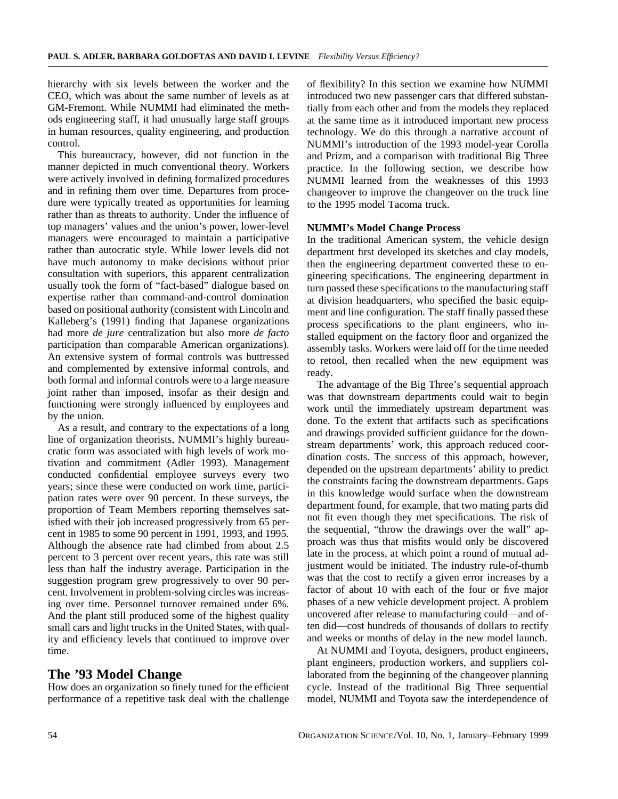hierarchy with six levels between the worker and the CEO, which was about the same number of levels as at GM-Fremont. While NUMMI had eliminated the methods engineering staff, it had unusually large staff groups in human resources, quality engineering, and production control.

This bureaucracy, however, did not function in the manner depicted in much conventional theory. Workers were actively involved in defining formalized procedures and in refining them over time. Departures from procedure were typically treated as opportunities for learning rather than as threats to authority. Under the influence of top managers' values and the union's power, lower-level managers were encouraged to maintain a participative rather than autocratic style. While lower levels did not have much autonomy to make decisions without prior consultation with superiors, this apparent centralization usually took the form of "fact-based" dialogue based on expertise rather than command-and-control domination based on positional authority (consistent with Lincoln and Kalleberg's (1991) finding that Japanese organizations had more *de jure* centralization but also more *de facto* participation than comparable American organizations). An extensive system of formal controls was buttressed and complemented by extensive informal controls, and both formal and informal controls were to a large measure joint rather than imposed, insofar as their design and functioning were strongly influenced by employees and by the union.

As a result, and contrary to the expectations of a long line of organization theorists, NUMMI's highly bureaucratic form was associated with high levels of work motivation and commitment (Adler 1993). Management conducted confidential employee surveys every two years; since these were conducted on work time, participation rates were over 90 percent. In these surveys, the proportion of Team Members reporting themselves satisfied with their job increased progressively from 65 percent in 1985 to some 90 percent in 1991, 1993, and 1995. Although the absence rate had climbed from about 2.5 percent to 3 percent over recent years, this rate was still less than half the industry average. Participation in the suggestion program grew progressively to over 90 percent. Involvement in problem-solving circles was increasing over time. Personnel turnover remained under 6%. And the plant still produced some of the highest quality small cars and light trucks in the United States, with quality and efficiency levels that continued to improve over time.

# **The '93 Model Change**

How does an organization so finely tuned for the efficient performance of a repetitive task deal with the challenge of flexibility? In this section we examine how NUMMI introduced two new passenger cars that differed substantially from each other and from the models they replaced at the same time as it introduced important new process technology. We do this through a narrative account of NUMMI's introduction of the 1993 model-year Corolla and Prizm, and a comparison with traditional Big Three practice. In the following section, we describe how NUMMI learned from the weaknesses of this 1993 changeover to improve the changeover on the truck line to the 1995 model Tacoma truck.

# **NUMMI's Model Change Process**

In the traditional American system, the vehicle design department first developed its sketches and clay models, then the engineering department converted these to engineering specifications. The engineering department in turn passed these specifications to the manufacturing staff at division headquarters, who specified the basic equipment and line configuration. The staff finally passed these process specifications to the plant engineers, who installed equipment on the factory floor and organized the assembly tasks. Workers were laid off for the time needed to retool, then recalled when the new equipment was ready.

The advantage of the Big Three's sequential approach was that downstream departments could wait to begin work until the immediately upstream department was done. To the extent that artifacts such as specifications and drawings provided sufficient guidance for the downstream departments' work, this approach reduced coordination costs. The success of this approach, however, depended on the upstream departments' ability to predict the constraints facing the downstream departments. Gaps in this knowledge would surface when the downstream department found, for example, that two mating parts did not fit even though they met specifications. The risk of the sequential, "throw the drawings over the wall" approach was thus that misfits would only be discovered late in the process, at which point a round of mutual adjustment would be initiated. The industry rule-of-thumb was that the cost to rectify a given error increases by a factor of about 10 with each of the four or five major phases of a new vehicle development project. A problem uncovered after release to manufacturing could—and often did—cost hundreds of thousands of dollars to rectify and weeks or months of delay in the new model launch.

At NUMMI and Toyota, designers, product engineers, plant engineers, production workers, and suppliers collaborated from the beginning of the changeover planning cycle. Instead of the traditional Big Three sequential model, NUMMI and Toyota saw the interdependence of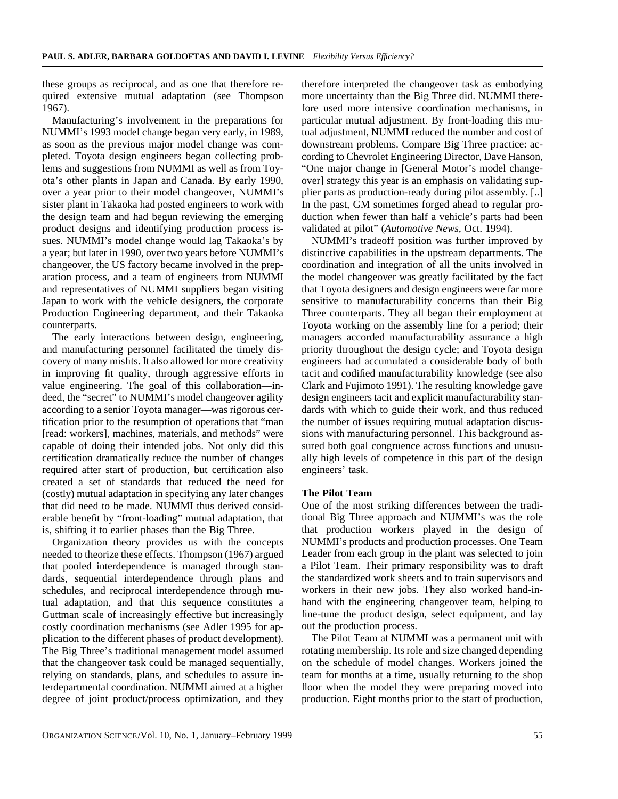these groups as reciprocal, and as one that therefore required extensive mutual adaptation (see Thompson 1967).

Manufacturing's involvement in the preparations for NUMMI's 1993 model change began very early, in 1989, as soon as the previous major model change was completed. Toyota design engineers began collecting problems and suggestions from NUMMI as well as from Toyota's other plants in Japan and Canada. By early 1990, over a year prior to their model changeover, NUMMI's sister plant in Takaoka had posted engineers to work with the design team and had begun reviewing the emerging product designs and identifying production process issues. NUMMI's model change would lag Takaoka's by a year; but later in 1990, over two years before NUMMI's changeover, the US factory became involved in the preparation process, and a team of engineers from NUMMI and representatives of NUMMI suppliers began visiting Japan to work with the vehicle designers, the corporate Production Engineering department, and their Takaoka counterparts.

The early interactions between design, engineering, and manufacturing personnel facilitated the timely discovery of many misfits. It also allowed for more creativity in improving fit quality, through aggressive efforts in value engineering. The goal of this collaboration—indeed, the "secret" to NUMMI's model changeover agility according to a senior Toyota manager—was rigorous certification prior to the resumption of operations that "man [read: workers], machines, materials, and methods" were capable of doing their intended jobs. Not only did this certification dramatically reduce the number of changes required after start of production, but certification also created a set of standards that reduced the need for (costly) mutual adaptation in specifying any later changes that did need to be made. NUMMI thus derived considerable benefit by "front-loading" mutual adaptation, that is, shifting it to earlier phases than the Big Three.

Organization theory provides us with the concepts needed to theorize these effects. Thompson (1967) argued that pooled interdependence is managed through standards, sequential interdependence through plans and schedules, and reciprocal interdependence through mutual adaptation, and that this sequence constitutes a Guttman scale of increasingly effective but increasingly costly coordination mechanisms (see Adler 1995 for application to the different phases of product development). The Big Three's traditional management model assumed that the changeover task could be managed sequentially, relying on standards, plans, and schedules to assure interdepartmental coordination. NUMMI aimed at a higher degree of joint product/process optimization, and they therefore interpreted the changeover task as embodying more uncertainty than the Big Three did. NUMMI therefore used more intensive coordination mechanisms, in particular mutual adjustment. By front-loading this mutual adjustment, NUMMI reduced the number and cost of downstream problems. Compare Big Three practice: according to Chevrolet Engineering Director, Dave Hanson, "One major change in [General Motor's model changeover] strategy this year is an emphasis on validating supplier parts as production-ready during pilot assembly. [..] In the past, GM sometimes forged ahead to regular production when fewer than half a vehicle's parts had been validated at pilot" (*Automotive News,* Oct. 1994).

NUMMI's tradeoff position was further improved by distinctive capabilities in the upstream departments. The coordination and integration of all the units involved in the model changeover was greatly facilitated by the fact that Toyota designers and design engineers were far more sensitive to manufacturability concerns than their Big Three counterparts. They all began their employment at Toyota working on the assembly line for a period; their managers accorded manufacturability assurance a high priority throughout the design cycle; and Toyota design engineers had accumulated a considerable body of both tacit and codified manufacturability knowledge (see also Clark and Fujimoto 1991). The resulting knowledge gave design engineers tacit and explicit manufacturability standards with which to guide their work, and thus reduced the number of issues requiring mutual adaptation discussions with manufacturing personnel. This background assured both goal congruence across functions and unusually high levels of competence in this part of the design engineers' task.

#### **The Pilot Team**

One of the most striking differences between the traditional Big Three approach and NUMMI's was the role that production workers played in the design of NUMMI's products and production processes. One Team Leader from each group in the plant was selected to join a Pilot Team. Their primary responsibility was to draft the standardized work sheets and to train supervisors and workers in their new jobs. They also worked hand-inhand with the engineering changeover team, helping to fine-tune the product design, select equipment, and lay out the production process.

The Pilot Team at NUMMI was a permanent unit with rotating membership. Its role and size changed depending on the schedule of model changes. Workers joined the team for months at a time, usually returning to the shop floor when the model they were preparing moved into production. Eight months prior to the start of production,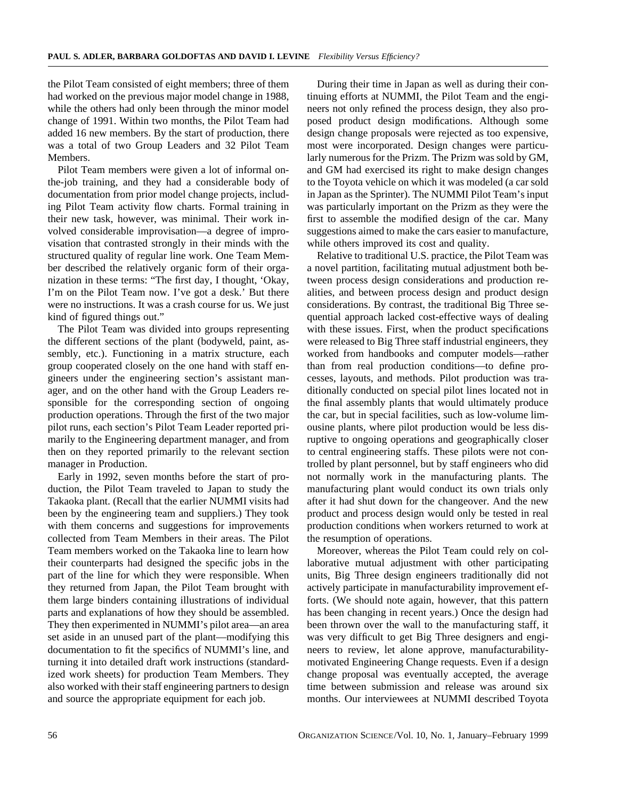the Pilot Team consisted of eight members; three of them had worked on the previous major model change in 1988, while the others had only been through the minor model change of 1991. Within two months, the Pilot Team had added 16 new members. By the start of production, there was a total of two Group Leaders and 32 Pilot Team Members.

Pilot Team members were given a lot of informal onthe-job training, and they had a considerable body of documentation from prior model change projects, including Pilot Team activity flow charts. Formal training in their new task, however, was minimal. Their work involved considerable improvisation—a degree of improvisation that contrasted strongly in their minds with the structured quality of regular line work. One Team Member described the relatively organic form of their organization in these terms: "The first day, I thought, 'Okay, I'm on the Pilot Team now. I've got a desk.' But there were no instructions. It was a crash course for us. We just kind of figured things out."

The Pilot Team was divided into groups representing the different sections of the plant (bodyweld, paint, assembly, etc.). Functioning in a matrix structure, each group cooperated closely on the one hand with staff engineers under the engineering section's assistant manager, and on the other hand with the Group Leaders responsible for the corresponding section of ongoing production operations. Through the first of the two major pilot runs, each section's Pilot Team Leader reported primarily to the Engineering department manager, and from then on they reported primarily to the relevant section manager in Production.

Early in 1992, seven months before the start of production, the Pilot Team traveled to Japan to study the Takaoka plant. (Recall that the earlier NUMMI visits had been by the engineering team and suppliers.) They took with them concerns and suggestions for improvements collected from Team Members in their areas. The Pilot Team members worked on the Takaoka line to learn how their counterparts had designed the specific jobs in the part of the line for which they were responsible. When they returned from Japan, the Pilot Team brought with them large binders containing illustrations of individual parts and explanations of how they should be assembled. They then experimented in NUMMI's pilot area—an area set aside in an unused part of the plant—modifying this documentation to fit the specifics of NUMMI's line, and turning it into detailed draft work instructions (standardized work sheets) for production Team Members. They also worked with their staff engineering partners to design and source the appropriate equipment for each job.

During their time in Japan as well as during their continuing efforts at NUMMI, the Pilot Team and the engineers not only refined the process design, they also proposed product design modifications. Although some design change proposals were rejected as too expensive, most were incorporated. Design changes were particularly numerous for the Prizm. The Prizm was sold by GM, and GM had exercised its right to make design changes to the Toyota vehicle on which it was modeled (a car sold in Japan as the Sprinter). The NUMMI Pilot Team's input was particularly important on the Prizm as they were the first to assemble the modified design of the car. Many suggestions aimed to make the cars easier to manufacture, while others improved its cost and quality.

Relative to traditional U.S. practice, the Pilot Team was a novel partition, facilitating mutual adjustment both between process design considerations and production realities, and between process design and product design considerations. By contrast, the traditional Big Three sequential approach lacked cost-effective ways of dealing with these issues. First, when the product specifications were released to Big Three staff industrial engineers, they worked from handbooks and computer models—rather than from real production conditions—to define processes, layouts, and methods. Pilot production was traditionally conducted on special pilot lines located not in the final assembly plants that would ultimately produce the car, but in special facilities, such as low-volume limousine plants, where pilot production would be less disruptive to ongoing operations and geographically closer to central engineering staffs. These pilots were not controlled by plant personnel, but by staff engineers who did not normally work in the manufacturing plants. The manufacturing plant would conduct its own trials only after it had shut down for the changeover. And the new product and process design would only be tested in real production conditions when workers returned to work at the resumption of operations.

Moreover, whereas the Pilot Team could rely on collaborative mutual adjustment with other participating units, Big Three design engineers traditionally did not actively participate in manufacturability improvement efforts. (We should note again, however, that this pattern has been changing in recent years.) Once the design had been thrown over the wall to the manufacturing staff, it was very difficult to get Big Three designers and engineers to review, let alone approve, manufacturabilitymotivated Engineering Change requests. Even if a design change proposal was eventually accepted, the average time between submission and release was around six months. Our interviewees at NUMMI described Toyota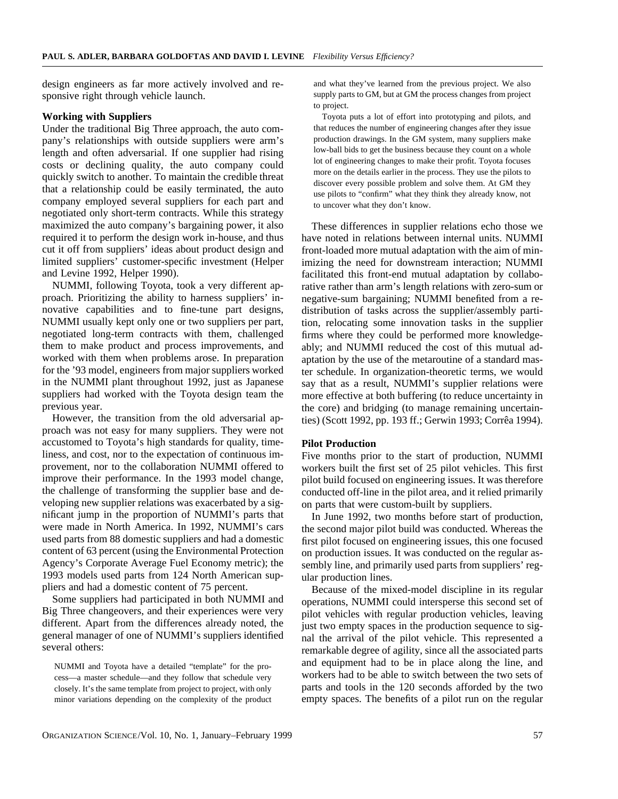design engineers as far more actively involved and responsive right through vehicle launch.

#### **Working with Suppliers**

Under the traditional Big Three approach, the auto company's relationships with outside suppliers were arm's length and often adversarial. If one supplier had rising costs or declining quality, the auto company could quickly switch to another. To maintain the credible threat that a relationship could be easily terminated, the auto company employed several suppliers for each part and negotiated only short-term contracts. While this strategy maximized the auto company's bargaining power, it also required it to perform the design work in-house, and thus cut it off from suppliers' ideas about product design and limited suppliers' customer-specific investment (Helper and Levine 1992, Helper 1990).

NUMMI, following Toyota, took a very different approach. Prioritizing the ability to harness suppliers' innovative capabilities and to fine-tune part designs, NUMMI usually kept only one or two suppliers per part, negotiated long-term contracts with them, challenged them to make product and process improvements, and worked with them when problems arose. In preparation for the '93 model, engineers from major suppliers worked in the NUMMI plant throughout 1992, just as Japanese suppliers had worked with the Toyota design team the previous year.

However, the transition from the old adversarial approach was not easy for many suppliers. They were not accustomed to Toyota's high standards for quality, timeliness, and cost, nor to the expectation of continuous improvement, nor to the collaboration NUMMI offered to improve their performance. In the 1993 model change, the challenge of transforming the supplier base and developing new supplier relations was exacerbated by a significant jump in the proportion of NUMMI's parts that were made in North America. In 1992, NUMMI's cars used parts from 88 domestic suppliers and had a domestic content of 63 percent (using the Environmental Protection Agency's Corporate Average Fuel Economy metric); the 1993 models used parts from 124 North American suppliers and had a domestic content of 75 percent.

Some suppliers had participated in both NUMMI and Big Three changeovers, and their experiences were very different. Apart from the differences already noted, the general manager of one of NUMMI's suppliers identified several others:

NUMMI and Toyota have a detailed "template" for the process—a master schedule—and they follow that schedule very closely. It's the same template from project to project, with only minor variations depending on the complexity of the product and what they've learned from the previous project. We also supply parts to GM, but at GM the process changes from project to project.

Toyota puts a lot of effort into prototyping and pilots, and that reduces the number of engineering changes after they issue production drawings. In the GM system, many suppliers make low-ball bids to get the business because they count on a whole lot of engineering changes to make their profit. Toyota focuses more on the details earlier in the process. They use the pilots to discover every possible problem and solve them. At GM they use pilots to "confirm" what they think they already know, not to uncover what they don't know.

These differences in supplier relations echo those we have noted in relations between internal units. NUMMI front-loaded more mutual adaptation with the aim of minimizing the need for downstream interaction; NUMMI facilitated this front-end mutual adaptation by collaborative rather than arm's length relations with zero-sum or negative-sum bargaining; NUMMI benefited from a redistribution of tasks across the supplier/assembly partition, relocating some innovation tasks in the supplier firms where they could be performed more knowledgeably; and NUMMI reduced the cost of this mutual adaptation by the use of the metaroutine of a standard master schedule. In organization-theoretic terms, we would say that as a result, NUMMI's supplier relations were more effective at both buffering (to reduce uncertainty in the core) and bridging (to manage remaining uncertainties) (Scott 1992, pp. 193 ff.; Gerwin 1993; Corrêa 1994).

#### **Pilot Production**

Five months prior to the start of production, NUMMI workers built the first set of 25 pilot vehicles. This first pilot build focused on engineering issues. It was therefore conducted off-line in the pilot area, and it relied primarily on parts that were custom-built by suppliers.

In June 1992, two months before start of production, the second major pilot build was conducted. Whereas the first pilot focused on engineering issues, this one focused on production issues. It was conducted on the regular assembly line, and primarily used parts from suppliers' regular production lines.

Because of the mixed-model discipline in its regular operations, NUMMI could intersperse this second set of pilot vehicles with regular production vehicles, leaving just two empty spaces in the production sequence to signal the arrival of the pilot vehicle. This represented a remarkable degree of agility, since all the associated parts and equipment had to be in place along the line, and workers had to be able to switch between the two sets of parts and tools in the 120 seconds afforded by the two empty spaces. The benefits of a pilot run on the regular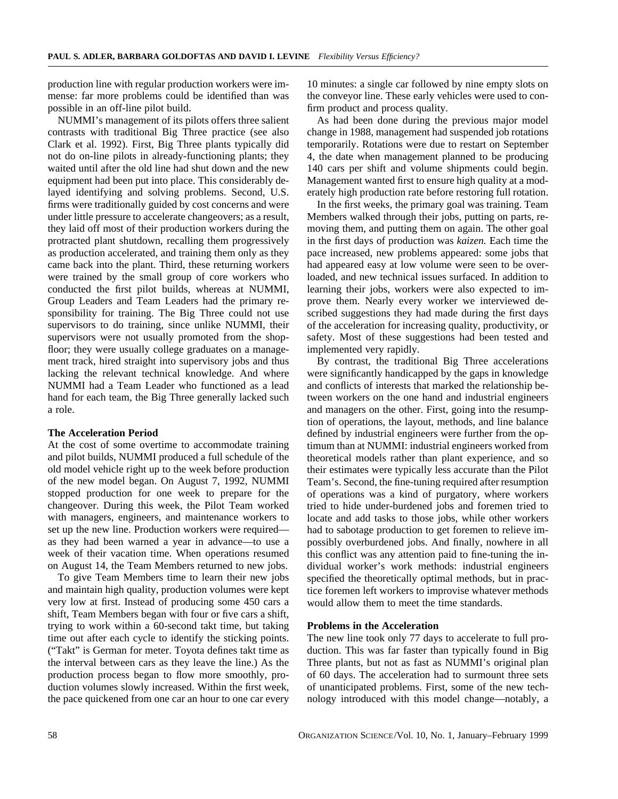production line with regular production workers were immense: far more problems could be identified than was possible in an off-line pilot build.

NUMMI's management of its pilots offers three salient contrasts with traditional Big Three practice (see also Clark et al. 1992). First, Big Three plants typically did not do on-line pilots in already-functioning plants; they waited until after the old line had shut down and the new equipment had been put into place. This considerably delayed identifying and solving problems. Second, U.S. firms were traditionally guided by cost concerns and were under little pressure to accelerate changeovers; as a result, they laid off most of their production workers during the protracted plant shutdown, recalling them progressively as production accelerated, and training them only as they came back into the plant. Third, these returning workers were trained by the small group of core workers who conducted the first pilot builds, whereas at NUMMI, Group Leaders and Team Leaders had the primary responsibility for training. The Big Three could not use supervisors to do training, since unlike NUMMI, their supervisors were not usually promoted from the shopfloor; they were usually college graduates on a management track, hired straight into supervisory jobs and thus lacking the relevant technical knowledge. And where NUMMI had a Team Leader who functioned as a lead hand for each team, the Big Three generally lacked such a role.

# **The Acceleration Period**

At the cost of some overtime to accommodate training and pilot builds, NUMMI produced a full schedule of the old model vehicle right up to the week before production of the new model began. On August 7, 1992, NUMMI stopped production for one week to prepare for the changeover. During this week, the Pilot Team worked with managers, engineers, and maintenance workers to set up the new line. Production workers were required as they had been warned a year in advance—to use a week of their vacation time. When operations resumed on August 14, the Team Members returned to new jobs.

To give Team Members time to learn their new jobs and maintain high quality, production volumes were kept very low at first. Instead of producing some 450 cars a shift, Team Members began with four or five cars a shift, trying to work within a 60-second takt time, but taking time out after each cycle to identify the sticking points. ("Takt" is German for meter. Toyota defines takt time as the interval between cars as they leave the line.) As the production process began to flow more smoothly, production volumes slowly increased. Within the first week, the pace quickened from one car an hour to one car every

10 minutes: a single car followed by nine empty slots on the conveyor line. These early vehicles were used to confirm product and process quality.

As had been done during the previous major model change in 1988, management had suspended job rotations temporarily. Rotations were due to restart on September 4, the date when management planned to be producing 140 cars per shift and volume shipments could begin. Management wanted first to ensure high quality at a moderately high production rate before restoring full rotation.

In the first weeks, the primary goal was training. Team Members walked through their jobs, putting on parts, removing them, and putting them on again. The other goal in the first days of production was *kaizen.* Each time the pace increased, new problems appeared: some jobs that had appeared easy at low volume were seen to be overloaded, and new technical issues surfaced. In addition to learning their jobs, workers were also expected to improve them. Nearly every worker we interviewed described suggestions they had made during the first days of the acceleration for increasing quality, productivity, or safety. Most of these suggestions had been tested and implemented very rapidly.

By contrast, the traditional Big Three accelerations were significantly handicapped by the gaps in knowledge and conflicts of interests that marked the relationship between workers on the one hand and industrial engineers and managers on the other. First, going into the resumption of operations, the layout, methods, and line balance defined by industrial engineers were further from the optimum than at NUMMI: industrial engineers worked from theoretical models rather than plant experience, and so their estimates were typically less accurate than the Pilot Team's. Second, the fine-tuning required after resumption of operations was a kind of purgatory, where workers tried to hide under-burdened jobs and foremen tried to locate and add tasks to those jobs, while other workers had to sabotage production to get foremen to relieve impossibly overburdened jobs. And finally, nowhere in all this conflict was any attention paid to fine-tuning the individual worker's work methods: industrial engineers specified the theoretically optimal methods, but in practice foremen left workers to improvise whatever methods would allow them to meet the time standards.

# **Problems in the Acceleration**

The new line took only 77 days to accelerate to full production. This was far faster than typically found in Big Three plants, but not as fast as NUMMI's original plan of 60 days. The acceleration had to surmount three sets of unanticipated problems. First, some of the new technology introduced with this model change—notably, a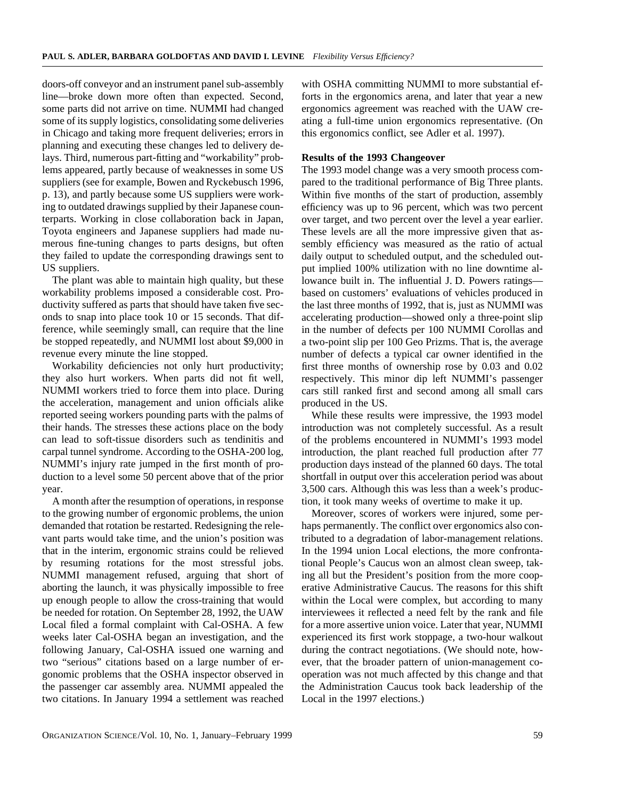doors-off conveyor and an instrument panel sub-assembly line—broke down more often than expected. Second, some parts did not arrive on time. NUMMI had changed some of its supply logistics, consolidating some deliveries in Chicago and taking more frequent deliveries; errors in planning and executing these changes led to delivery delays. Third, numerous part-fitting and "workability" problems appeared, partly because of weaknesses in some US suppliers (see for example, Bowen and Ryckebusch 1996, p. 13), and partly because some US suppliers were working to outdated drawings supplied by their Japanese counterparts. Working in close collaboration back in Japan, Toyota engineers and Japanese suppliers had made numerous fine-tuning changes to parts designs, but often they failed to update the corresponding drawings sent to US suppliers.

The plant was able to maintain high quality, but these workability problems imposed a considerable cost. Productivity suffered as parts that should have taken five seconds to snap into place took 10 or 15 seconds. That difference, while seemingly small, can require that the line be stopped repeatedly, and NUMMI lost about \$9,000 in revenue every minute the line stopped.

Workability deficiencies not only hurt productivity; they also hurt workers. When parts did not fit well, NUMMI workers tried to force them into place. During the acceleration, management and union officials alike reported seeing workers pounding parts with the palms of their hands. The stresses these actions place on the body can lead to soft-tissue disorders such as tendinitis and carpal tunnel syndrome. According to the OSHA-200 log, NUMMI's injury rate jumped in the first month of production to a level some 50 percent above that of the prior year.

A month after the resumption of operations, in response to the growing number of ergonomic problems, the union demanded that rotation be restarted. Redesigning the relevant parts would take time, and the union's position was that in the interim, ergonomic strains could be relieved by resuming rotations for the most stressful jobs. NUMMI management refused, arguing that short of aborting the launch, it was physically impossible to free up enough people to allow the cross-training that would be needed for rotation. On September 28, 1992, the UAW Local filed a formal complaint with Cal-OSHA. A few weeks later Cal-OSHA began an investigation, and the following January, Cal-OSHA issued one warning and two "serious" citations based on a large number of ergonomic problems that the OSHA inspector observed in the passenger car assembly area. NUMMI appealed the two citations. In January 1994 a settlement was reached with OSHA committing NUMMI to more substantial efforts in the ergonomics arena, and later that year a new ergonomics agreement was reached with the UAW creating a full-time union ergonomics representative. (On this ergonomics conflict, see Adler et al. 1997).

#### **Results of the 1993 Changeover**

The 1993 model change was a very smooth process compared to the traditional performance of Big Three plants. Within five months of the start of production, assembly efficiency was up to 96 percent, which was two percent over target, and two percent over the level a year earlier. These levels are all the more impressive given that assembly efficiency was measured as the ratio of actual daily output to scheduled output, and the scheduled output implied 100% utilization with no line downtime allowance built in. The influential J. D. Powers ratings based on customers' evaluations of vehicles produced in the last three months of 1992, that is, just as NUMMI was accelerating production—showed only a three-point slip in the number of defects per 100 NUMMI Corollas and a two-point slip per 100 Geo Prizms. That is, the average number of defects a typical car owner identified in the first three months of ownership rose by 0.03 and 0.02 respectively. This minor dip left NUMMI's passenger cars still ranked first and second among all small cars produced in the US.

While these results were impressive, the 1993 model introduction was not completely successful. As a result of the problems encountered in NUMMI's 1993 model introduction, the plant reached full production after 77 production days instead of the planned 60 days. The total shortfall in output over this acceleration period was about 3,500 cars. Although this was less than a week's production, it took many weeks of overtime to make it up.

Moreover, scores of workers were injured, some perhaps permanently. The conflict over ergonomics also contributed to a degradation of labor-management relations. In the 1994 union Local elections, the more confrontational People's Caucus won an almost clean sweep, taking all but the President's position from the more cooperative Administrative Caucus. The reasons for this shift within the Local were complex, but according to many interviewees it reflected a need felt by the rank and file for a more assertive union voice. Later that year, NUMMI experienced its first work stoppage, a two-hour walkout during the contract negotiations. (We should note, however, that the broader pattern of union-management cooperation was not much affected by this change and that the Administration Caucus took back leadership of the Local in the 1997 elections.)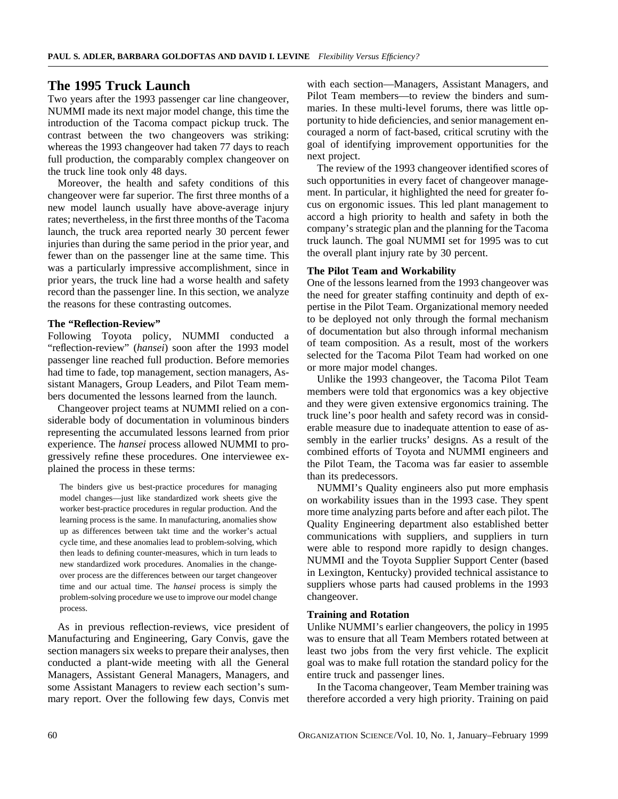# **The 1995 Truck Launch**

Two years after the 1993 passenger car line changeover, NUMMI made its next major model change, this time the introduction of the Tacoma compact pickup truck. The contrast between the two changeovers was striking: whereas the 1993 changeover had taken 77 days to reach full production, the comparably complex changeover on the truck line took only 48 days.

Moreover, the health and safety conditions of this changeover were far superior. The first three months of a new model launch usually have above-average injury rates; nevertheless, in the first three months of the Tacoma launch, the truck area reported nearly 30 percent fewer injuries than during the same period in the prior year, and fewer than on the passenger line at the same time. This was a particularly impressive accomplishment, since in prior years, the truck line had a worse health and safety record than the passenger line. In this section, we analyze the reasons for these contrasting outcomes.

# **The "Reflection-Review"**

Following Toyota policy, NUMMI conducted a "reflection-review" (*hansei*) soon after the 1993 model passenger line reached full production. Before memories had time to fade, top management, section managers, Assistant Managers, Group Leaders, and Pilot Team members documented the lessons learned from the launch.

Changeover project teams at NUMMI relied on a considerable body of documentation in voluminous binders representing the accumulated lessons learned from prior experience. The *hansei* process allowed NUMMI to progressively refine these procedures. One interviewee explained the process in these terms:

The binders give us best-practice procedures for managing model changes—just like standardized work sheets give the worker best-practice procedures in regular production. And the learning process is the same. In manufacturing, anomalies show up as differences between takt time and the worker's actual cycle time, and these anomalies lead to problem-solving, which then leads to defining counter-measures, which in turn leads to new standardized work procedures. Anomalies in the changeover process are the differences between our target changeover time and our actual time. The *hansei* process is simply the problem-solving procedure we use to improve our model change process.

As in previous reflection-reviews, vice president of Manufacturing and Engineering, Gary Convis, gave the section managers six weeks to prepare their analyses, then conducted a plant-wide meeting with all the General Managers, Assistant General Managers, Managers, and some Assistant Managers to review each section's summary report. Over the following few days, Convis met with each section—Managers, Assistant Managers, and Pilot Team members—to review the binders and summaries. In these multi-level forums, there was little opportunity to hide deficiencies, and senior management encouraged a norm of fact-based, critical scrutiny with the goal of identifying improvement opportunities for the next project.

The review of the 1993 changeover identified scores of such opportunities in every facet of changeover management. In particular, it highlighted the need for greater focus on ergonomic issues. This led plant management to accord a high priority to health and safety in both the company's strategic plan and the planning for the Tacoma truck launch. The goal NUMMI set for 1995 was to cut the overall plant injury rate by 30 percent.

# **The Pilot Team and Workability**

One of the lessons learned from the 1993 changeover was the need for greater staffing continuity and depth of expertise in the Pilot Team. Organizational memory needed to be deployed not only through the formal mechanism of documentation but also through informal mechanism of team composition. As a result, most of the workers selected for the Tacoma Pilot Team had worked on one or more major model changes.

Unlike the 1993 changeover, the Tacoma Pilot Team members were told that ergonomics was a key objective and they were given extensive ergonomics training. The truck line's poor health and safety record was in considerable measure due to inadequate attention to ease of assembly in the earlier trucks' designs. As a result of the combined efforts of Toyota and NUMMI engineers and the Pilot Team, the Tacoma was far easier to assemble than its predecessors.

NUMMI's Quality engineers also put more emphasis on workability issues than in the 1993 case. They spent more time analyzing parts before and after each pilot. The Quality Engineering department also established better communications with suppliers, and suppliers in turn were able to respond more rapidly to design changes. NUMMI and the Toyota Supplier Support Center (based in Lexington, Kentucky) provided technical assistance to suppliers whose parts had caused problems in the 1993 changeover.

#### **Training and Rotation**

Unlike NUMMI's earlier changeovers, the policy in 1995 was to ensure that all Team Members rotated between at least two jobs from the very first vehicle. The explicit goal was to make full rotation the standard policy for the entire truck and passenger lines.

In the Tacoma changeover, Team Member training was therefore accorded a very high priority. Training on paid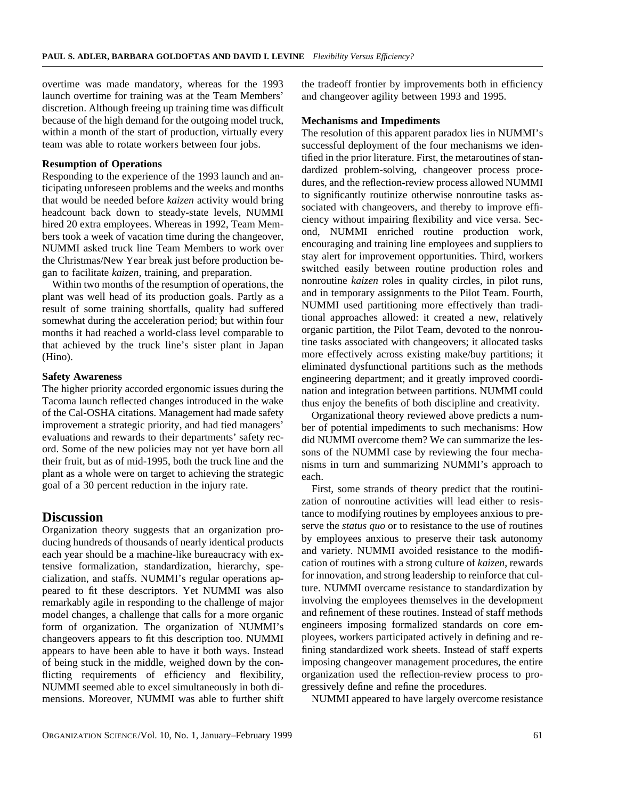overtime was made mandatory, whereas for the 1993 launch overtime for training was at the Team Members' discretion. Although freeing up training time was difficult because of the high demand for the outgoing model truck, within a month of the start of production, virtually every team was able to rotate workers between four jobs.

#### **Resumption of Operations**

Responding to the experience of the 1993 launch and anticipating unforeseen problems and the weeks and months that would be needed before *kaizen* activity would bring headcount back down to steady-state levels, NUMMI hired 20 extra employees. Whereas in 1992, Team Members took a week of vacation time during the changeover, NUMMI asked truck line Team Members to work over the Christmas/New Year break just before production began to facilitate *kaizen,* training, and preparation.

Within two months of the resumption of operations, the plant was well head of its production goals. Partly as a result of some training shortfalls, quality had suffered somewhat during the acceleration period; but within four months it had reached a world-class level comparable to that achieved by the truck line's sister plant in Japan (Hino).

#### **Safety Awareness**

The higher priority accorded ergonomic issues during the Tacoma launch reflected changes introduced in the wake of the Cal-OSHA citations. Management had made safety improvement a strategic priority, and had tied managers' evaluations and rewards to their departments' safety record. Some of the new policies may not yet have born all their fruit, but as of mid-1995, both the truck line and the plant as a whole were on target to achieving the strategic goal of a 30 percent reduction in the injury rate.

# **Discussion**

Organization theory suggests that an organization producing hundreds of thousands of nearly identical products each year should be a machine-like bureaucracy with extensive formalization, standardization, hierarchy, specialization, and staffs. NUMMI's regular operations appeared to fit these descriptors. Yet NUMMI was also remarkably agile in responding to the challenge of major model changes, a challenge that calls for a more organic form of organization. The organization of NUMMI's changeovers appears to fit this description too. NUMMI appears to have been able to have it both ways. Instead of being stuck in the middle, weighed down by the conflicting requirements of efficiency and flexibility, NUMMI seemed able to excel simultaneously in both dimensions. Moreover, NUMMI was able to further shift the tradeoff frontier by improvements both in efficiency and changeover agility between 1993 and 1995.

#### **Mechanisms and Impediments**

The resolution of this apparent paradox lies in NUMMI's successful deployment of the four mechanisms we identified in the prior literature. First, the metaroutines of standardized problem-solving, changeover process procedures, and the reflection-review process allowed NUMMI to significantly routinize otherwise nonroutine tasks associated with changeovers, and thereby to improve efficiency without impairing flexibility and vice versa. Second, NUMMI enriched routine production work, encouraging and training line employees and suppliers to stay alert for improvement opportunities. Third, workers switched easily between routine production roles and nonroutine *kaizen* roles in quality circles, in pilot runs, and in temporary assignments to the Pilot Team. Fourth, NUMMI used partitioning more effectively than traditional approaches allowed: it created a new, relatively organic partition, the Pilot Team, devoted to the nonroutine tasks associated with changeovers; it allocated tasks more effectively across existing make/buy partitions; it eliminated dysfunctional partitions such as the methods engineering department; and it greatly improved coordination and integration between partitions. NUMMI could thus enjoy the benefits of both discipline and creativity.

Organizational theory reviewed above predicts a number of potential impediments to such mechanisms: How did NUMMI overcome them? We can summarize the lessons of the NUMMI case by reviewing the four mechanisms in turn and summarizing NUMMI's approach to each.

First, some strands of theory predict that the routinization of nonroutine activities will lead either to resistance to modifying routines by employees anxious to preserve the *status quo* or to resistance to the use of routines by employees anxious to preserve their task autonomy and variety. NUMMI avoided resistance to the modification of routines with a strong culture of *kaizen*, rewards for innovation, and strong leadership to reinforce that culture. NUMMI overcame resistance to standardization by involving the employees themselves in the development and refinement of these routines. Instead of staff methods engineers imposing formalized standards on core employees, workers participated actively in defining and refining standardized work sheets. Instead of staff experts imposing changeover management procedures, the entire organization used the reflection-review process to progressively define and refine the procedures.

NUMMI appeared to have largely overcome resistance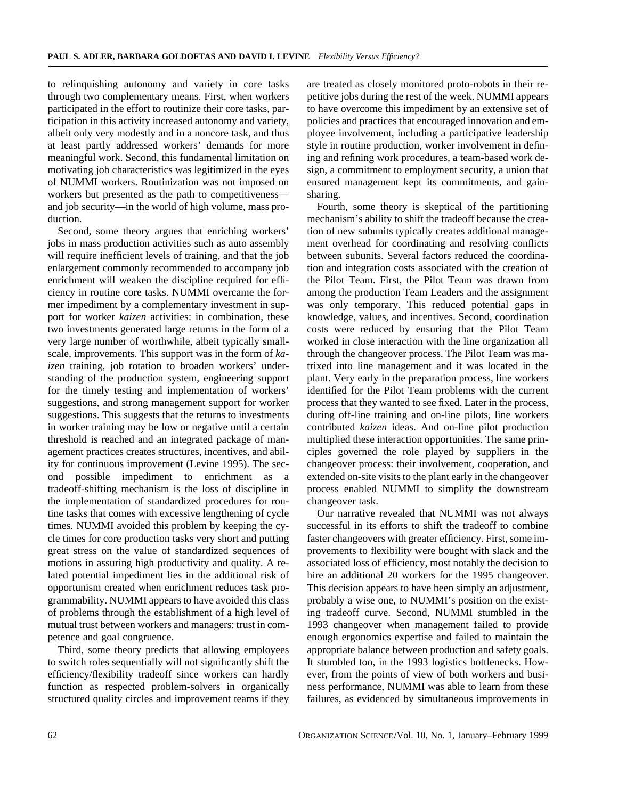to relinquishing autonomy and variety in core tasks through two complementary means. First, when workers participated in the effort to routinize their core tasks, participation in this activity increased autonomy and variety, albeit only very modestly and in a noncore task, and thus at least partly addressed workers' demands for more meaningful work. Second, this fundamental limitation on motivating job characteristics was legitimized in the eyes of NUMMI workers. Routinization was not imposed on workers but presented as the path to competitiveness and job security—in the world of high volume, mass production.

Second, some theory argues that enriching workers' jobs in mass production activities such as auto assembly will require inefficient levels of training, and that the job enlargement commonly recommended to accompany job enrichment will weaken the discipline required for efficiency in routine core tasks. NUMMI overcame the former impediment by a complementary investment in support for worker *kaizen* activities: in combination, these two investments generated large returns in the form of a very large number of worthwhile, albeit typically smallscale, improvements. This support was in the form of *kaizen* training, job rotation to broaden workers' understanding of the production system, engineering support for the timely testing and implementation of workers' suggestions, and strong management support for worker suggestions. This suggests that the returns to investments in worker training may be low or negative until a certain threshold is reached and an integrated package of management practices creates structures, incentives, and ability for continuous improvement (Levine 1995). The second possible impediment to enrichment as a tradeoff-shifting mechanism is the loss of discipline in the implementation of standardized procedures for routine tasks that comes with excessive lengthening of cycle times. NUMMI avoided this problem by keeping the cycle times for core production tasks very short and putting great stress on the value of standardized sequences of motions in assuring high productivity and quality. A related potential impediment lies in the additional risk of opportunism created when enrichment reduces task programmability. NUMMI appears to have avoided this class of problems through the establishment of a high level of mutual trust between workers and managers: trust in competence and goal congruence.

Third, some theory predicts that allowing employees to switch roles sequentially will not significantly shift the efficiency/flexibility tradeoff since workers can hardly function as respected problem-solvers in organically structured quality circles and improvement teams if they are treated as closely monitored proto-robots in their repetitive jobs during the rest of the week. NUMMI appears to have overcome this impediment by an extensive set of policies and practices that encouraged innovation and employee involvement, including a participative leadership style in routine production, worker involvement in defining and refining work procedures, a team-based work design, a commitment to employment security, a union that ensured management kept its commitments, and gainsharing.

Fourth, some theory is skeptical of the partitioning mechanism's ability to shift the tradeoff because the creation of new subunits typically creates additional management overhead for coordinating and resolving conflicts between subunits. Several factors reduced the coordination and integration costs associated with the creation of the Pilot Team. First, the Pilot Team was drawn from among the production Team Leaders and the assignment was only temporary. This reduced potential gaps in knowledge, values, and incentives. Second, coordination costs were reduced by ensuring that the Pilot Team worked in close interaction with the line organization all through the changeover process. The Pilot Team was matrixed into line management and it was located in the plant. Very early in the preparation process, line workers identified for the Pilot Team problems with the current process that they wanted to see fixed. Later in the process, during off-line training and on-line pilots, line workers contributed *kaizen* ideas. And on-line pilot production multiplied these interaction opportunities. The same principles governed the role played by suppliers in the changeover process: their involvement, cooperation, and extended on-site visits to the plant early in the changeover process enabled NUMMI to simplify the downstream changeover task.

Our narrative revealed that NUMMI was not always successful in its efforts to shift the tradeoff to combine faster changeovers with greater efficiency. First, some improvements to flexibility were bought with slack and the associated loss of efficiency, most notably the decision to hire an additional 20 workers for the 1995 changeover. This decision appears to have been simply an adjustment, probably a wise one, to NUMMI's position on the existing tradeoff curve. Second, NUMMI stumbled in the 1993 changeover when management failed to provide enough ergonomics expertise and failed to maintain the appropriate balance between production and safety goals. It stumbled too, in the 1993 logistics bottlenecks. However, from the points of view of both workers and business performance, NUMMI was able to learn from these failures, as evidenced by simultaneous improvements in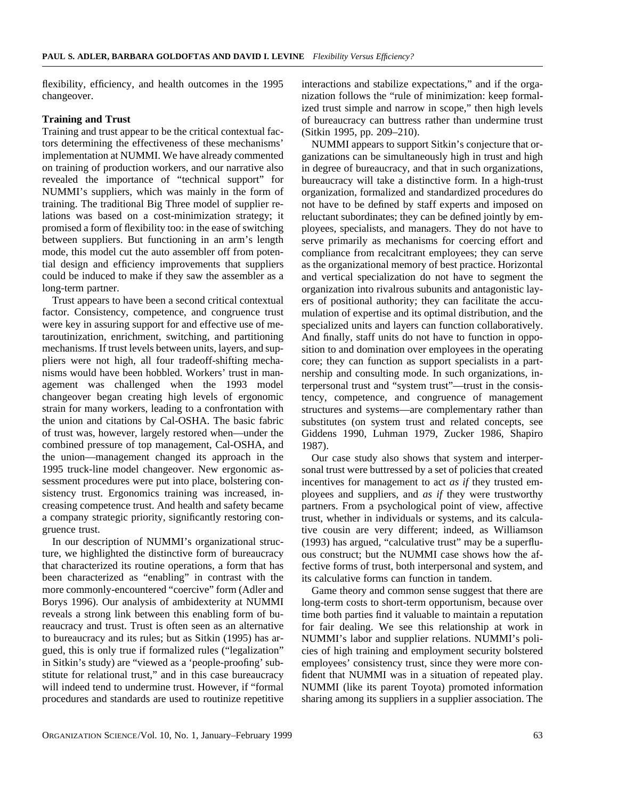flexibility, efficiency, and health outcomes in the 1995 changeover.

#### **Training and Trust**

Training and trust appear to be the critical contextual factors determining the effectiveness of these mechanisms' implementation at NUMMI. We have already commented on training of production workers, and our narrative also revealed the importance of "technical support" for NUMMI's suppliers, which was mainly in the form of training. The traditional Big Three model of supplier relations was based on a cost-minimization strategy; it promised a form of flexibility too: in the ease of switching between suppliers. But functioning in an arm's length mode, this model cut the auto assembler off from potential design and efficiency improvements that suppliers could be induced to make if they saw the assembler as a long-term partner.

Trust appears to have been a second critical contextual factor. Consistency, competence, and congruence trust were key in assuring support for and effective use of metaroutinization, enrichment, switching, and partitioning mechanisms. If trust levels between units, layers, and suppliers were not high, all four tradeoff-shifting mechanisms would have been hobbled. Workers' trust in management was challenged when the 1993 model changeover began creating high levels of ergonomic strain for many workers, leading to a confrontation with the union and citations by Cal-OSHA. The basic fabric of trust was, however, largely restored when—under the combined pressure of top management, Cal-OSHA, and the union—management changed its approach in the 1995 truck-line model changeover. New ergonomic assessment procedures were put into place, bolstering consistency trust. Ergonomics training was increased, increasing competence trust. And health and safety became a company strategic priority, significantly restoring congruence trust.

In our description of NUMMI's organizational structure, we highlighted the distinctive form of bureaucracy that characterized its routine operations, a form that has been characterized as "enabling" in contrast with the more commonly-encountered "coercive" form (Adler and Borys 1996). Our analysis of ambidexterity at NUMMI reveals a strong link between this enabling form of bureaucracy and trust. Trust is often seen as an alternative to bureaucracy and its rules; but as Sitkin (1995) has argued, this is only true if formalized rules ("legalization" in Sitkin's study) are "viewed as a 'people-proofing' substitute for relational trust," and in this case bureaucracy will indeed tend to undermine trust. However, if "formal procedures and standards are used to routinize repetitive interactions and stabilize expectations," and if the organization follows the "rule of minimization: keep formalized trust simple and narrow in scope," then high levels of bureaucracy can buttress rather than undermine trust (Sitkin 1995, pp. 209–210).

NUMMI appears to support Sitkin's conjecture that organizations can be simultaneously high in trust and high in degree of bureaucracy, and that in such organizations, bureaucracy will take a distinctive form. In a high-trust organization, formalized and standardized procedures do not have to be defined by staff experts and imposed on reluctant subordinates; they can be defined jointly by employees, specialists, and managers. They do not have to serve primarily as mechanisms for coercing effort and compliance from recalcitrant employees; they can serve as the organizational memory of best practice. Horizontal and vertical specialization do not have to segment the organization into rivalrous subunits and antagonistic layers of positional authority; they can facilitate the accumulation of expertise and its optimal distribution, and the specialized units and layers can function collaboratively. And finally, staff units do not have to function in opposition to and domination over employees in the operating core; they can function as support specialists in a partnership and consulting mode. In such organizations, interpersonal trust and "system trust"—trust in the consistency, competence, and congruence of management structures and systems—are complementary rather than substitutes (on system trust and related concepts, see Giddens 1990, Luhman 1979, Zucker 1986, Shapiro 1987).

Our case study also shows that system and interpersonal trust were buttressed by a set of policies that created incentives for management to act *as if* they trusted employees and suppliers, and *as if* they were trustworthy partners. From a psychological point of view, affective trust, whether in individuals or systems, and its calculative cousin are very different; indeed, as Williamson (1993) has argued, "calculative trust" may be a superfluous construct; but the NUMMI case shows how the affective forms of trust, both interpersonal and system, and its calculative forms can function in tandem.

Game theory and common sense suggest that there are long-term costs to short-term opportunism, because over time both parties find it valuable to maintain a reputation for fair dealing. We see this relationship at work in NUMMI's labor and supplier relations. NUMMI's policies of high training and employment security bolstered employees' consistency trust, since they were more confident that NUMMI was in a situation of repeated play. NUMMI (like its parent Toyota) promoted information sharing among its suppliers in a supplier association. The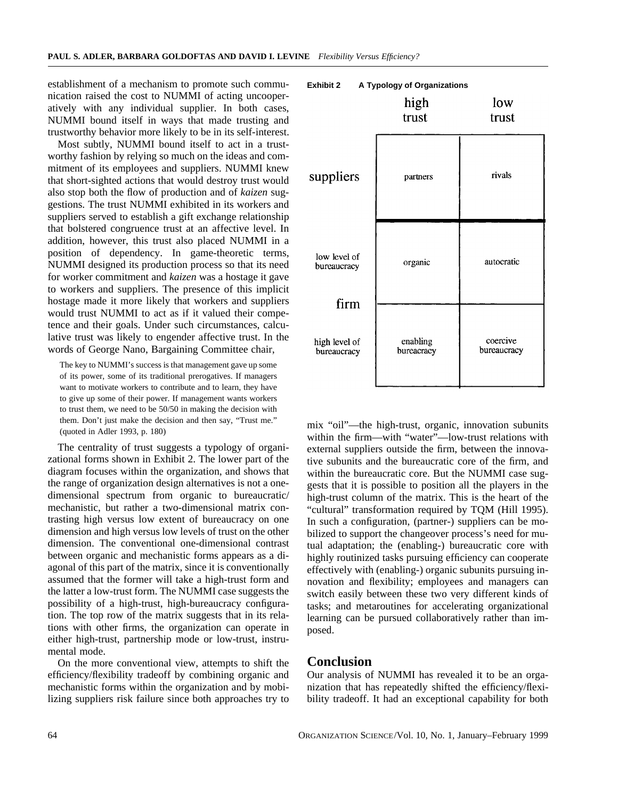establishment of a mechanism to promote such commu- **Exhibit 2 A Typology of Organizations** nication raised the cost to NUMMI of acting uncooperatively with any individual supplier. In both cases, NUMMI bound itself in ways that made trusting and trustworthy behavior more likely to be in its self-interest.

Most subtly, NUMMI bound itself to act in a trustworthy fashion by relying so much on the ideas and commitment of its employees and suppliers. NUMMI knew that short-sighted actions that would destroy trust would also stop both the flow of production and of *kaizen* suggestions. The trust NUMMI exhibited in its workers and suppliers served to establish a gift exchange relationship that bolstered congruence trust at an affective level. In addition, however, this trust also placed NUMMI in a position of dependency. In game-theoretic terms, NUMMI designed its production process so that its need for worker commitment and *kaizen* was a hostage it gave to workers and suppliers. The presence of this implicit hostage made it more likely that workers and suppliers would trust NUMMI to act as if it valued their competence and their goals. Under such circumstances, calculative trust was likely to engender affective trust. In the words of George Nano, Bargaining Committee chair,

The key to NUMMI's success is that management gave up some of its power, some of its traditional prerogatives. If managers want to motivate workers to contribute and to learn, they have to give up some of their power. If management wants workers to trust them, we need to be 50/50 in making the decision with them. Don't just make the decision and then say, "Trust me." (quoted in Adler 1993, p. 180)

The centrality of trust suggests a typology of organizational forms shown in Exhibit 2. The lower part of the diagram focuses within the organization, and shows that the range of organization design alternatives is not a onedimensional spectrum from organic to bureaucratic/ mechanistic, but rather a two-dimensional matrix contrasting high versus low extent of bureaucracy on one dimension and high versus low levels of trust on the other dimension. The conventional one-dimensional contrast between organic and mechanistic forms appears as a diagonal of this part of the matrix, since it is conventionally assumed that the former will take a high-trust form and the latter a low-trust form. The NUMMI case suggests the possibility of a high-trust, high-bureaucracy configuration. The top row of the matrix suggests that in its relations with other firms, the organization can operate in either high-trust, partnership mode or low-trust, instrumental mode.

On the more conventional view, attempts to shift the efficiency/flexibility tradeoff by combining organic and mechanistic forms within the organization and by mobilizing suppliers risk failure since both approaches try to



mix "oil"—the high-trust, organic, innovation subunits within the firm—with "water"—low-trust relations with external suppliers outside the firm, between the innovative subunits and the bureaucratic core of the firm, and within the bureaucratic core. But the NUMMI case suggests that it is possible to position all the players in the high-trust column of the matrix. This is the heart of the "cultural" transformation required by TQM (Hill 1995). In such a configuration, (partner-) suppliers can be mobilized to support the changeover process's need for mutual adaptation; the (enabling-) bureaucratic core with highly routinized tasks pursuing efficiency can cooperate effectively with (enabling-) organic subunits pursuing innovation and flexibility; employees and managers can switch easily between these two very different kinds of tasks; and metaroutines for accelerating organizational learning can be pursued collaboratively rather than imposed.

# **Conclusion**

Our analysis of NUMMI has revealed it to be an organization that has repeatedly shifted the efficiency/flexibility tradeoff. It had an exceptional capability for both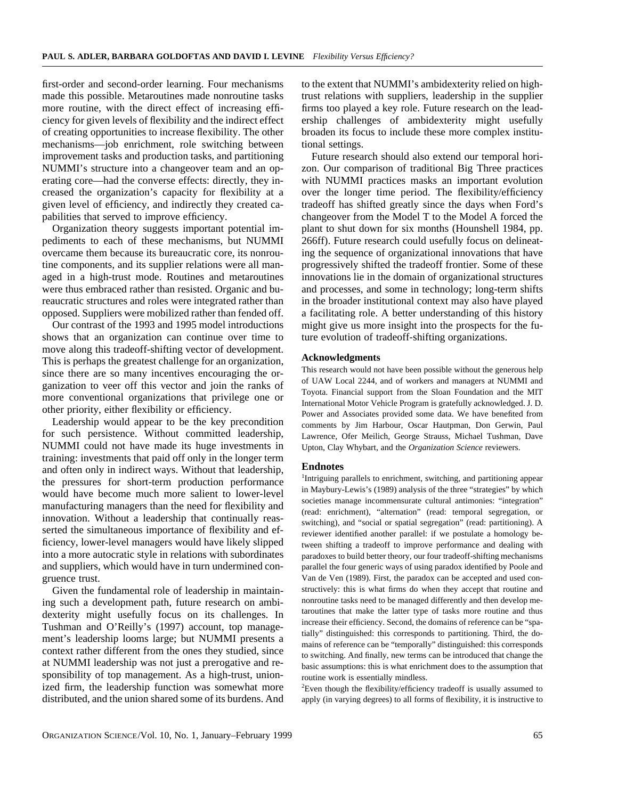first-order and second-order learning. Four mechanisms made this possible. Metaroutines made nonroutine tasks more routine, with the direct effect of increasing efficiency for given levels of flexibility and the indirect effect of creating opportunities to increase flexibility. The other mechanisms—job enrichment, role switching between improvement tasks and production tasks, and partitioning NUMMI's structure into a changeover team and an operating core—had the converse effects: directly, they increased the organization's capacity for flexibility at a given level of efficiency, and indirectly they created capabilities that served to improve efficiency.

Organization theory suggests important potential impediments to each of these mechanisms, but NUMMI overcame them because its bureaucratic core, its nonroutine components, and its supplier relations were all managed in a high-trust mode. Routines and metaroutines were thus embraced rather than resisted. Organic and bureaucratic structures and roles were integrated rather than opposed. Suppliers were mobilized rather than fended off.

Our contrast of the 1993 and 1995 model introductions shows that an organization can continue over time to move along this tradeoff-shifting vector of development. This is perhaps the greatest challenge for an organization, since there are so many incentives encouraging the organization to veer off this vector and join the ranks of more conventional organizations that privilege one or other priority, either flexibility or efficiency.

Leadership would appear to be the key precondition for such persistence. Without committed leadership, NUMMI could not have made its huge investments in training: investments that paid off only in the longer term and often only in indirect ways. Without that leadership, the pressures for short-term production performance would have become much more salient to lower-level manufacturing managers than the need for flexibility and innovation. Without a leadership that continually reasserted the simultaneous importance of flexibility and efficiency, lower-level managers would have likely slipped into a more autocratic style in relations with subordinates and suppliers, which would have in turn undermined congruence trust.

Given the fundamental role of leadership in maintaining such a development path, future research on ambidexterity might usefully focus on its challenges. In Tushman and O'Reilly's (1997) account, top management's leadership looms large; but NUMMI presents a context rather different from the ones they studied, since at NUMMI leadership was not just a prerogative and responsibility of top management. As a high-trust, unionized firm, the leadership function was somewhat more distributed, and the union shared some of its burdens. And

to the extent that NUMMI's ambidexterity relied on hightrust relations with suppliers, leadership in the supplier firms too played a key role. Future research on the leadership challenges of ambidexterity might usefully broaden its focus to include these more complex institutional settings.

Future research should also extend our temporal horizon. Our comparison of traditional Big Three practices with NUMMI practices masks an important evolution over the longer time period. The flexibility/efficiency tradeoff has shifted greatly since the days when Ford's changeover from the Model T to the Model A forced the plant to shut down for six months (Hounshell 1984, pp. 266ff). Future research could usefully focus on delineating the sequence of organizational innovations that have progressively shifted the tradeoff frontier. Some of these innovations lie in the domain of organizational structures and processes, and some in technology; long-term shifts in the broader institutional context may also have played a facilitating role. A better understanding of this history might give us more insight into the prospects for the future evolution of tradeoff-shifting organizations.

#### **Acknowledgments**

This research would not have been possible without the generous help of UAW Local 2244, and of workers and managers at NUMMI and Toyota. Financial support from the Sloan Foundation and the MIT International Motor Vehicle Program is gratefully acknowledged. J. D. Power and Associates provided some data. We have benefited from comments by Jim Harbour, Oscar Hautpman, Don Gerwin, Paul Lawrence, Ofer Meilich, George Strauss, Michael Tushman, Dave Upton, Clay Whybart, and the *Organization Science* reviewers.

#### **Endnotes**

<sup>1</sup>Intriguing parallels to enrichment, switching, and partitioning appear in Maybury-Lewis's (1989) analysis of the three "strategies" by which societies manage incommensurate cultural antimonies: "integration" (read: enrichment), "alternation" (read: temporal segregation, or switching), and "social or spatial segregation" (read: partitioning). A reviewer identified another parallel: if we postulate a homology between shifting a tradeoff to improve performance and dealing with paradoxes to build better theory, our four tradeoff-shifting mechanisms parallel the four generic ways of using paradox identified by Poole and Van de Ven (1989). First, the paradox can be accepted and used constructively: this is what firms do when they accept that routine and nonroutine tasks need to be managed differently and then develop metaroutines that make the latter type of tasks more routine and thus increase their efficiency. Second, the domains of reference can be "spatially" distinguished: this corresponds to partitioning. Third, the domains of reference can be "temporally" distinguished: this corresponds to switching. And finally, new terms can be introduced that change the basic assumptions: this is what enrichment does to the assumption that routine work is essentially mindless.

 ${}^{2}$ Even though the flexibility/efficiency tradeoff is usually assumed to apply (in varying degrees) to all forms of flexibility, it is instructive to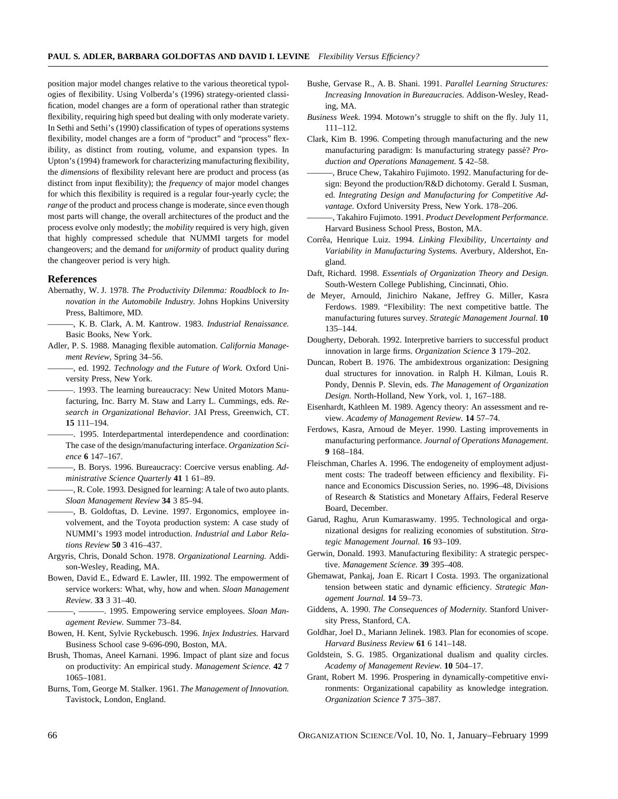position major model changes relative to the various theoretical typologies of flexibility. Using Volberda's (1996) strategy-oriented classification, model changes are a form of operational rather than strategic flexibility, requiring high speed but dealing with only moderate variety. In Sethi and Sethi's (1990) classification of types of operations systems flexibility, model changes are a form of "product" and "process" flexibility, as distinct from routing, volume, and expansion types. In Upton's (1994) framework for characterizing manufacturing flexibility, the *dimensions* of flexibility relevant here are product and process (as distinct from input flexibility); the *frequency* of major model changes for which this flexibility is required is a regular four-yearly cycle; the *range* of the product and process change is moderate, since even though most parts will change, the overall architectures of the product and the process evolve only modestly; the *mobility* required is very high, given that highly compressed schedule that NUMMI targets for model changeovers; and the demand for *uniformity* of product quality during the changeover period is very high.

#### **References**

- Abernathy, W. J. 1978. *The Productivity Dilemma: Roadblock to Innovation in the Automobile Industry.* Johns Hopkins University Press, Baltimore, MD.
	- ———, K. B. Clark, A. M. Kantrow. 1983. *Industrial Renaissance.* Basic Books, New York.
- Adler, P. S. 1988. Managing flexible automation. *California Management Review,* Spring 34–56.
- ———, ed. 1992. *Technology and the Future of Work.* Oxford University Press, New York.
- ———. 1993. The learning bureaucracy: New United Motors Manufacturing, Inc. Barry M. Staw and Larry L. Cummings, eds. *Research in Organizational Behavior.* JAI Press, Greenwich, CT. **15** 111–194.
- ———. 1995. Interdepartmental interdependence and coordination: The case of the design/manufacturing interface. *Organization Science* **6** 147–167.
- ———, B. Borys. 1996. Bureaucracy: Coercive versus enabling. *Administrative Science Quarterly* **41** 1 61–89.
- –, R. Cole. 1993. Designed for learning: A tale of two auto plants. *Sloan Management Review* **34** 3 85–94.
- ———, B. Goldoftas, D. Levine. 1997. Ergonomics, employee involvement, and the Toyota production system: A case study of NUMMI's 1993 model introduction. *Industrial and Labor Relations Review* **50** 3 416–437.
- Argyris, Chris, Donald Schon. 1978. *Organizational Learning.* Addison-Wesley, Reading, MA.
- Bowen, David E., Edward E. Lawler, III. 1992. The empowerment of service workers: What, why, how and when. *Sloan Management Review.* **33** 3 31–40.

-, - 1995. Empowering service employees. Sloan Man*agement Review.* Summer 73–84.

- Bowen, H. Kent, Sylvie Ryckebusch. 1996. *Injex Industries.* Harvard Business School case 9-696-090, Boston, MA.
- Brush, Thomas, Aneel Karnani. 1996. Impact of plant size and focus on productivity: An empirical study. *Management Science.* **42** 7 1065–1081.
- Burns, Tom, George M. Stalker. 1961. *The Management of Innovation.* Tavistock, London, England.
- Bushe, Gervase R., A. B. Shani. 1991. *Parallel Learning Structures: Increasing Innovation in Bureaucracies.* Addison-Wesley, Reading, MA.
- *Business Week.* 1994. Motown's struggle to shift on the fly. July 11, 111–112.
- Clark, Kim B. 1996. Competing through manufacturing and the new manufacturing paradigm: Is manufacturing strategy passé? Pro*duction and Operations Management.* **5** 42–58.
- -, Bruce Chew, Takahiro Fujimoto. 1992. Manufacturing for design: Beyond the production/R&D dichotomy. Gerald I. Susman, ed. *Integrating Design and Manufacturing for Competitive Advantage.* Oxford University Press, New York. 178–206.
- ———, Takahiro Fujimoto. 1991. *Product Development Performance.* Harvard Business School Press, Boston, MA.
- Corrêa, Henrique Luiz. 1994. *Linking Flexibility, Uncertainty and Variability in Manufacturing Systems.* Averbury, Aldershot, England.
- Daft, Richard. 1998. *Essentials of Organization Theory and Design.* South-Western College Publishing, Cincinnati, Ohio.
- de Meyer, Arnould, Jinichiro Nakane, Jeffrey G. Miller, Kasra Ferdows. 1989. "Flexibility: The next competitive battle. The manufacturing futures survey. *Strategic Management Journal.* **10** 135–144.
- Dougherty, Deborah. 1992. Interpretive barriers to successful product innovation in large firms. *Organization Science* **3** 179–202.
- Duncan, Robert B. 1976. The ambidextrous organization: Designing dual structures for innovation. in Ralph H. Kilman, Louis R. Pondy, Dennis P. Slevin, eds. *The Management of Organization Design.* North-Holland, New York, vol. 1, 167–188.
- Eisenhardt, Kathleen M. 1989. Agency theory: An assessment and review. *Academy of Management Review.* **14** 57–74.
- Ferdows, Kasra, Arnoud de Meyer. 1990. Lasting improvements in manufacturing performance. *Journal of Operations Management.* **9** 168–184.
- Fleischman, Charles A. 1996. The endogeneity of employment adjustment costs: The tradeoff between efficiency and flexibility. Finance and Economics Discussion Series, no. 1996–48, Divisions of Research & Statistics and Monetary Affairs, Federal Reserve Board, December.
- Garud, Raghu, Arun Kumaraswamy. 1995. Technological and organizational designs for realizing economies of substitution. *Strategic Management Journal.* **16** 93–109.
- Gerwin, Donald. 1993. Manufacturing flexibility: A strategic perspective. *Management Science.* **39** 395–408.
- Ghemawat, Pankaj, Joan E. Ricart I Costa. 1993. The organizational tension between static and dynamic efficiency. *Strategic Management Journal.* **14** 59–73.
- Giddens, A. 1990. *The Consequences of Modernity.* Stanford University Press, Stanford, CA.
- Goldhar, Joel D., Mariann Jelinek. 1983. Plan for economies of scope. *Harvard Business Review* **61** 6 141–148.
- Goldstein, S. G. 1985. Organizational dualism and quality circles. *Academy of Management Review.* **10** 504–17.
- Grant, Robert M. 1996. Prospering in dynamically-competitive environments: Organizational capability as knowledge integration. *Organization Science* **7** 375–387.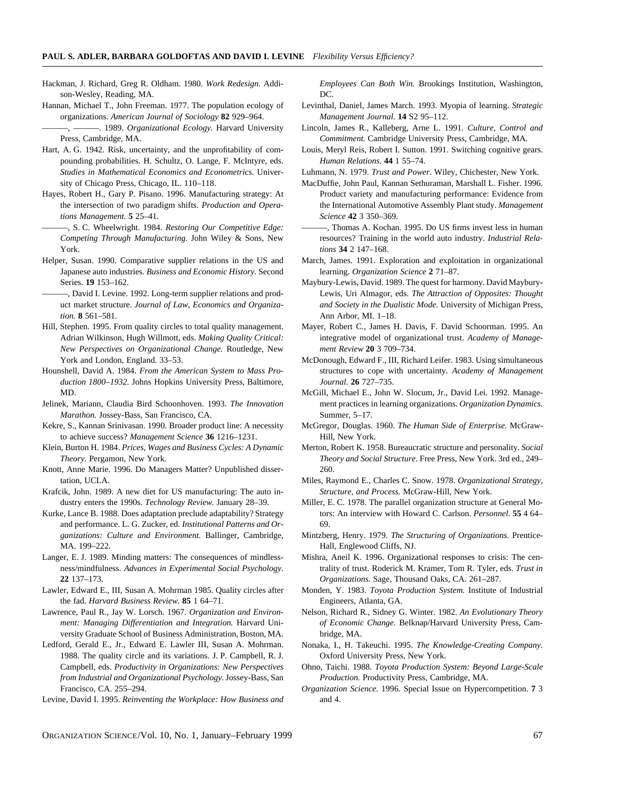- Hackman, J. Richard, Greg R. Oldham. 1980. *Work Redesign.* Addison-Wesley, Reading, MA.
- Hannan, Michael T., John Freeman. 1977. The population ecology of organizations. *American Journal of Sociology* **82** 929–964.

———, ———. 1989. *Organizational Ecology.* Harvard University Press, Cambridge, MA.

- Hart, A. G. 1942. Risk, uncertainty, and the unprofitability of compounding probabilities. H. Schultz, O. Lange, F. McIntyre, eds. *Studies in Mathematical Economics and Econometrics.* University of Chicago Press, Chicago, IL. 110–118.
- Hayes, Robert H., Gary P. Pisano. 1996. Manufacturing strategy: At the intersection of two paradigm shifts. *Production and Operations Management.* **5** 25–41.
- ———, S. C. Wheelwright. 1984. *Restoring Our Competitive Edge: Competing Through Manufacturing.* John Wiley & Sons, New York.
- Helper, Susan. 1990. Comparative supplier relations in the US and Japanese auto industries. *Business and Economic History.* Second Series. **19** 153–162.
- ———, David I. Levine. 1992. Long-term supplier relations and product market structure. *Journal of Law, Economics and Organization.* **8** 561–581.
- Hill, Stephen. 1995. From quality circles to total quality management. Adrian Wilkinson, Hugh Willmott, eds. *Making Quality Critical: New Perspectives on Organizational Change.* Routledge, New York and London, England. 33–53.
- Hounshell, David A. 1984. *From the American System to Mass Production 1800–1932.* Johns Hopkins University Press, Baltimore, MD.
- Jelinek, Mariann, Claudia Bird Schoonhoven. 1993. *The Innovation Marathon.* Jossey-Bass, San Francisco, CA.
- Kekre, S., Kannan Srinivasan. 1990. Broader product line: A necessity to achieve success? *Management Science* **36** 1216–1231.
- Klein, Burton H. 1984. *Prices, Wages and Business Cycles: A Dynamic Theory.* Pergamon, New York.
- Knott, Anne Marie. 1996. Do Managers Matter? Unpublished dissertation, UCLA.
- Krafcik, John. 1989. A new diet for US manufacturing: The auto industry enters the 1990s. *Technology Review.* January 28–39.
- Kurke, Lance B. 1988. Does adaptation preclude adaptability? Strategy and performance. L. G. Zucker, ed. *Institutional Patterns and Organizations: Culture and Environment.* Ballinger, Cambridge, MA. 199–222.
- Langer, E. J. 1989. Minding matters: The consequences of mindlessness/mindfulness. *Advances in Experimental Social Psychology.* **22** 137–173.
- Lawler, Edward E., III, Susan A. Mohrman 1985. Quality circles after the fad. *Harvard Business Review.* **85** 1 64–71.
- Lawrence, Paul R., Jay W. Lorsch. 1967. *Organization and Environment: Managing Differentiation and Integration.* Harvard University Graduate School of Business Administration, Boston, MA.
- Ledford, Gerald E., Jr., Edward E. Lawler III, Susan A. Mohrman. 1988. The quality circle and its variations. J. P. Campbell, R. J. Campbell, eds. *Productivity in Organizations: New Perspectives from Industrial and Organizational Psychology.*Jossey-Bass, San Francisco, CA. 255–294.
- Levine, David I. 1995. *Reinventing the Workplace: How Business and*

*Employees Can Both Win.* Brookings Institution, Washington, DC.

- Levinthal, Daniel, James March. 1993. Myopia of learning. *Strategic Management Journal.* **14** S2 95–112.
- Lincoln, James R., Kalleberg, Arne L. 1991. *Culture, Control and Commitment.* Cambridge University Press, Cambridge, MA.
- Louis, Meryl Reis, Robert I. Sutton. 1991. Switching cognitive gears. *Human Relations.* **44** 1 55–74.
- Luhmann, N. 1979. *Trust and Power.* Wiley, Chichester, New York.
- MacDuffie, John Paul, Kannan Sethuraman, Marshall L. Fisher. 1996. Product variety and manufacturing performance: Evidence from the International Automotive Assembly Plant study. *Management Science* **42** 3 350–369.
- -, Thomas A. Kochan. 1995. Do US firms invest less in human resources? Training in the world auto industry. *Industrial Relations* **34** 2 147–168.
- March, James. 1991. Exploration and exploitation in organizational learning. *Organization Science* **2** 71–87.
- Maybury-Lewis, David. 1989. The quest for harmony. David Maybury-Lewis, Uri Almagor, eds. *The Attraction of Opposites: Thought and Society in the Dualistic Mode.* University of Michigan Press, Ann Arbor, MI. 1–18.
- Mayer, Robert C., James H. Davis, F. David Schoorman. 1995. An integrative model of organizational trust. *Academy of Management Review* **20** 3 709–734.
- McDonough, Edward F., III, Richard Leifer. 1983. Using simultaneous structures to cope with uncertainty. *Academy of Management Journal.* **26** 727–735.
- McGill, Michael E., John W. Slocum, Jr., David Lei. 1992. Management practices in learning organizations. *Organization Dynamics.* Summer, 5–17.
- McGregor, Douglas. 1960. *The Human Side of Enterprise.* McGraw-Hill, New York.
- Merton, Robert K. 1958. Bureaucratic structure and personality. *Social Theory and Social Structure.* Free Press, New York. 3rd ed., 249– 260.
- Miles, Raymond E., Charles C. Snow. 1978. *Organizational Strategy, Structure, and Process.* McGraw-Hill, New York.
- Miller, E. C. 1978. The parallel organization structure at General Motors: An interview with Howard C. Carlson. *Personnel.* **55** 4 64– 69.
- Mintzberg, Henry. 1979. *The Structuring of Organizations.* Prentice-Hall, Englewood Cliffs, NJ.
- Mishra, Aneil K. 1996. Organizational responses to crisis: The centrality of trust. Roderick M. Kramer, Tom R. Tyler, eds. *Trust in Organizations.* Sage, Thousand Oaks, CA. 261–287.
- Monden, Y. 1983. *Toyota Production System.* Institute of Industrial Engineers, Atlanta, GA.
- Nelson, Richard R., Sidney G. Winter. 1982. *An Evolutionary Theory of Economic Change.* Belknap/Harvard University Press, Cambridge, MA.
- Nonaka, I., H. Takeuchi. 1995. *The Knowledge-Creating Company.* Oxford University Press, New York.
- Ohno, Taichi. 1988. *Toyota Production System: Beyond Large-Scale Production.* Productivity Press, Cambridge, MA.
- *Organization Science.* 1996. Special Issue on Hypercompetition. **7** 3 and 4.